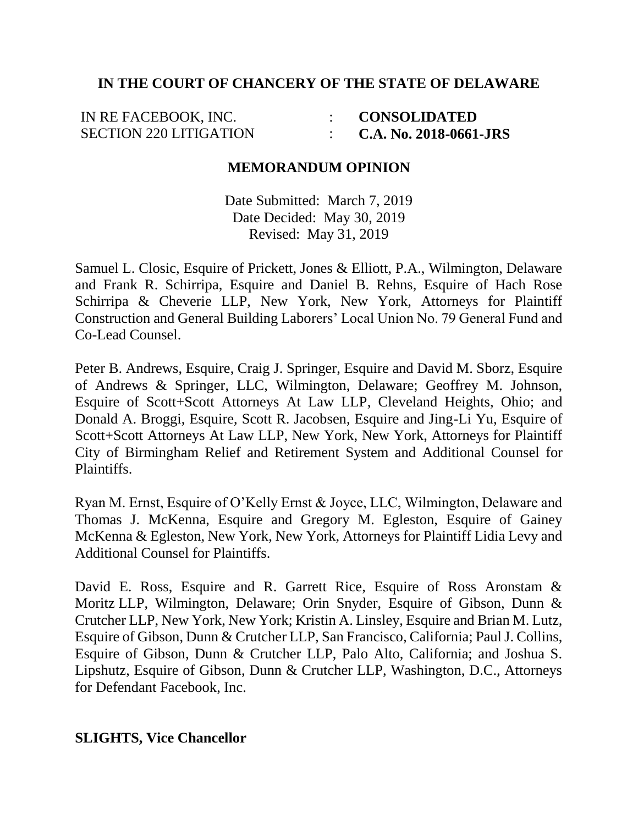## **IN THE COURT OF CHANCERY OF THE STATE OF DELAWARE**

IN RE FACEBOOK, INC. SECTION 220 LITIGATION : : **CONSOLIDATED C.A. No. 2018-0661-JRS**

## **MEMORANDUM OPINION**

Date Submitted: March 7, 2019 Date Decided: May 30, 2019 Revised: May 31, 2019

Samuel L. Closic, Esquire of Prickett, Jones & Elliott, P.A., Wilmington, Delaware and Frank R. Schirripa, Esquire and Daniel B. Rehns, Esquire of Hach Rose Schirripa & Cheverie LLP, New York, New York, Attorneys for Plaintiff Construction and General Building Laborers' Local Union No. 79 General Fund and Co-Lead Counsel.

Peter B. Andrews, Esquire, Craig J. Springer, Esquire and David M. Sborz, Esquire of Andrews & Springer, LLC, Wilmington, Delaware; Geoffrey M. Johnson, Esquire of Scott+Scott Attorneys At Law LLP, Cleveland Heights, Ohio; and Donald A. Broggi, Esquire, Scott R. Jacobsen, Esquire and Jing-Li Yu, Esquire of Scott+Scott Attorneys At Law LLP, New York, New York, Attorneys for Plaintiff City of Birmingham Relief and Retirement System and Additional Counsel for Plaintiffs.

Ryan M. Ernst, Esquire of O'Kelly Ernst & Joyce, LLC, Wilmington, Delaware and Thomas J. McKenna, Esquire and Gregory M. Egleston, Esquire of Gainey McKenna & Egleston, New York, New York, Attorneys for Plaintiff Lidia Levy and Additional Counsel for Plaintiffs.

David E. Ross, Esquire and R. Garrett Rice, Esquire of Ross Aronstam & Moritz LLP, Wilmington, Delaware; Orin Snyder, Esquire of Gibson, Dunn & Crutcher LLP, New York, New York; Kristin A. Linsley, Esquire and Brian M. Lutz, Esquire of Gibson, Dunn & Crutcher LLP, San Francisco, California; Paul J. Collins, Esquire of Gibson, Dunn & Crutcher LLP, Palo Alto, California; and Joshua S. Lipshutz, Esquire of Gibson, Dunn & Crutcher LLP, Washington, D.C., Attorneys for Defendant Facebook, Inc.

### **SLIGHTS, Vice Chancellor**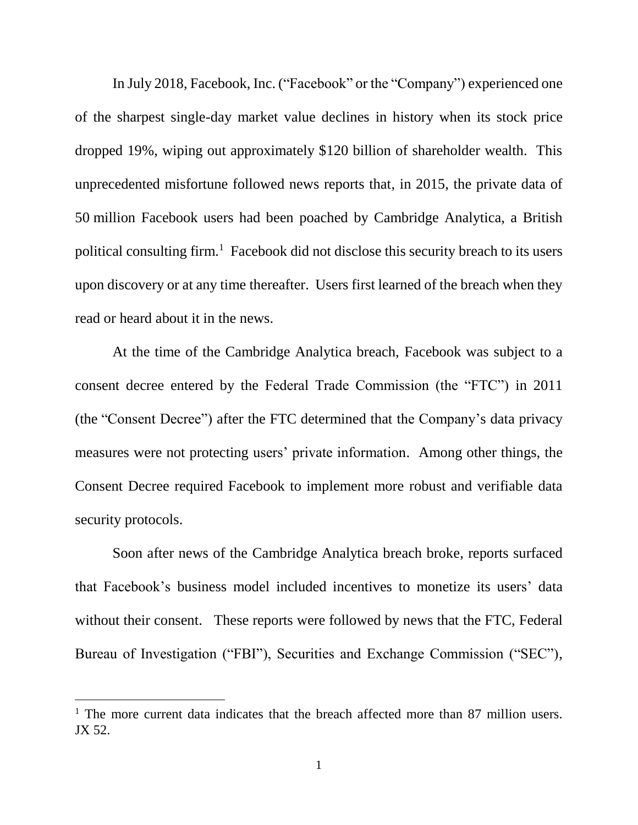In July 2018, Facebook, Inc. ("Facebook" or the "Company") experienced one of the sharpest single-day market value declines in history when its stock price dropped 19%, wiping out approximately \$120 billion of shareholder wealth. This unprecedented misfortune followed news reports that, in 2015, the private data of 50 million Facebook users had been poached by Cambridge Analytica, a British political consulting firm.<sup>1</sup> Facebook did not disclose this security breach to its users upon discovery or at any time thereafter. Users first learned of the breach when they read or heard about it in the news.

At the time of the Cambridge Analytica breach, Facebook was subject to a consent decree entered by the Federal Trade Commission (the "FTC") in 2011 (the "Consent Decree") after the FTC determined that the Company's data privacy measures were not protecting users' private information. Among other things, the Consent Decree required Facebook to implement more robust and verifiable data security protocols.

Soon after news of the Cambridge Analytica breach broke, reports surfaced that Facebook's business model included incentives to monetize its users' data without their consent. These reports were followed by news that the FTC, Federal Bureau of Investigation ("FBI"), Securities and Exchange Commission ("SEC"),

<sup>&</sup>lt;sup>1</sup> The more current data indicates that the breach affected more than 87 million users. JX 52.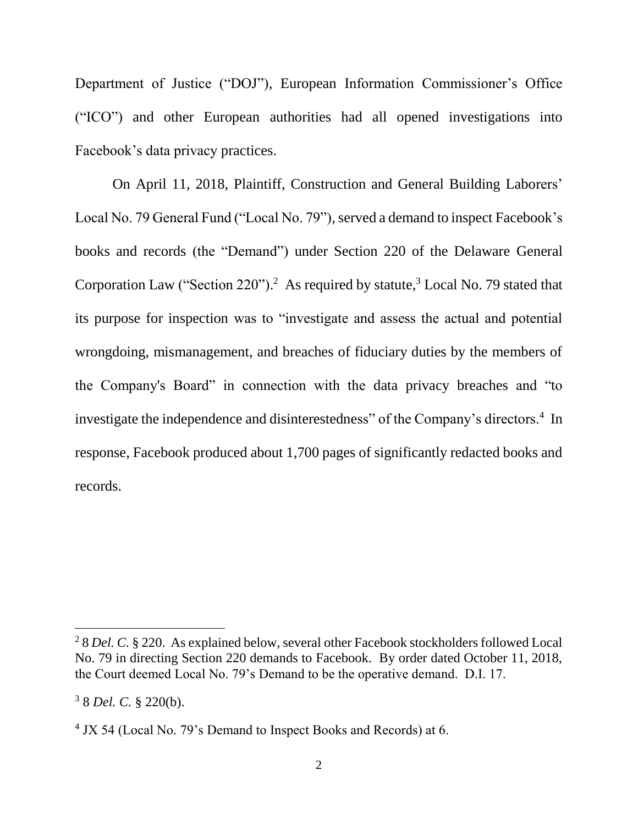Department of Justice ("DOJ"), European Information Commissioner's Office ("ICO") and other European authorities had all opened investigations into Facebook's data privacy practices.

On April 11, 2018, Plaintiff, Construction and General Building Laborers' Local No. 79 General Fund ("Local No. 79"), served a demand to inspect Facebook's books and records (the "Demand") under Section 220 of the Delaware General Corporation Law ("Section  $220$ ").<sup>2</sup> As required by statute,<sup>3</sup> Local No. 79 stated that its purpose for inspection was to "investigate and assess the actual and potential wrongdoing, mismanagement, and breaches of fiduciary duties by the members of the Company's Board" in connection with the data privacy breaches and "to investigate the independence and disinterestedness" of the Company's directors.<sup>4</sup> In response, Facebook produced about 1,700 pages of significantly redacted books and records.

<sup>2</sup> 8 *Del. C.* § 220. As explained below, several other Facebook stockholders followed Local No. 79 in directing Section 220 demands to Facebook. By order dated October 11, 2018, the Court deemed Local No. 79's Demand to be the operative demand. D.I. 17.

<sup>3</sup> 8 *Del. C.* § 220(b).

<sup>&</sup>lt;sup>4</sup> JX 54 (Local No. 79's Demand to Inspect Books and Records) at 6.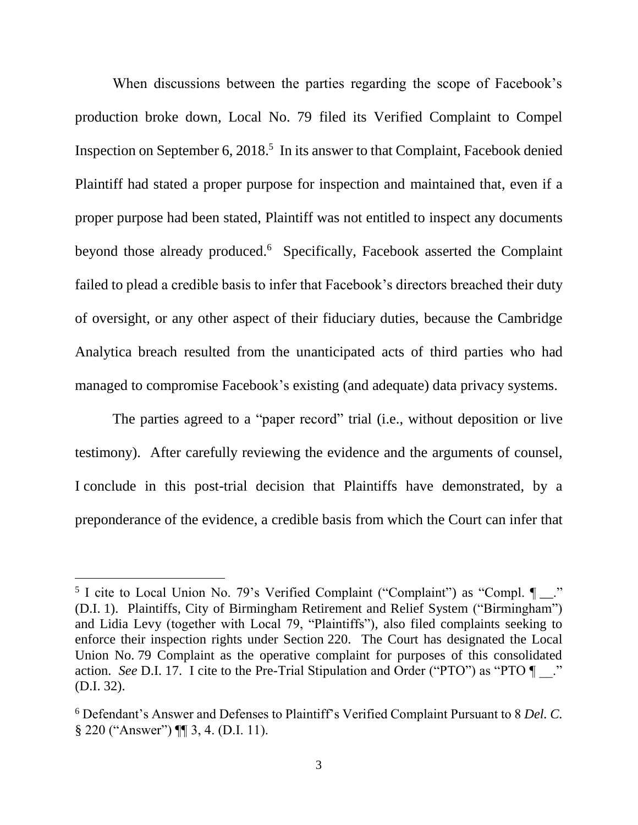When discussions between the parties regarding the scope of Facebook's production broke down, Local No. 79 filed its Verified Complaint to Compel Inspection on September 6, 2018. 5 In its answer to that Complaint, Facebook denied Plaintiff had stated a proper purpose for inspection and maintained that, even if a proper purpose had been stated, Plaintiff was not entitled to inspect any documents beyond those already produced.<sup>6</sup> Specifically, Facebook asserted the Complaint failed to plead a credible basis to infer that Facebook's directors breached their duty of oversight, or any other aspect of their fiduciary duties, because the Cambridge Analytica breach resulted from the unanticipated acts of third parties who had managed to compromise Facebook's existing (and adequate) data privacy systems.

The parties agreed to a "paper record" trial (i.e., without deposition or live testimony). After carefully reviewing the evidence and the arguments of counsel, I conclude in this post-trial decision that Plaintiffs have demonstrated, by a preponderance of the evidence, a credible basis from which the Court can infer that

<sup>&</sup>lt;sup>5</sup> I cite to Local Union No. 79's Verified Complaint ("Complaint") as "Compl.  $\P_{\_}$ " (D.I. 1). Plaintiffs, City of Birmingham Retirement and Relief System ("Birmingham") and Lidia Levy (together with Local 79, "Plaintiffs"), also filed complaints seeking to enforce their inspection rights under Section 220. The Court has designated the Local Union No. 79 Complaint as the operative complaint for purposes of this consolidated action. *See* D.I. 17. I cite to the Pre-Trial Stipulation and Order ("PTO") as "PTO  $\P$ ." (D.I. 32).

<sup>6</sup> Defendant's Answer and Defenses to Plaintiff's Verified Complaint Pursuant to 8 *Del. C.*  § 220 ("Answer") ¶ 3, 4. (D.I. 11).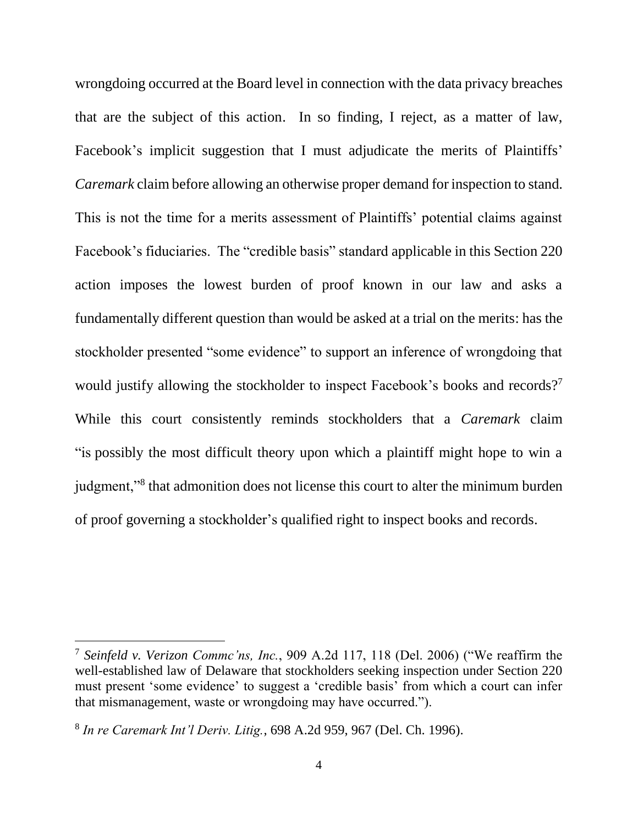wrongdoing occurred at the Board level in connection with the data privacy breaches that are the subject of this action. In so finding, I reject, as a matter of law, Facebook's implicit suggestion that I must adjudicate the merits of Plaintiffs' *Caremark* claim before allowing an otherwise proper demand for inspection to stand. This is not the time for a merits assessment of Plaintiffs' potential claims against Facebook's fiduciaries. The "credible basis" standard applicable in this Section 220 action imposes the lowest burden of proof known in our law and asks a fundamentally different question than would be asked at a trial on the merits: has the stockholder presented "some evidence" to support an inference of wrongdoing that would justify allowing the stockholder to inspect Facebook's books and records?<sup>7</sup> While this court consistently reminds stockholders that a *Caremark* claim "is possibly the most difficult theory upon which a plaintiff might hope to win a judgment,"<sup>8</sup> that admonition does not license this court to alter the minimum burden of proof governing a stockholder's qualified right to inspect books and records.

<sup>7</sup> *Seinfeld v. Verizon Commc'ns, Inc.*, 909 A.2d 117, 118 (Del. 2006) ("We reaffirm the well-established law of Delaware that stockholders seeking inspection under Section 220 must present 'some evidence' to suggest a 'credible basis' from which a court can infer that mismanagement, waste or wrongdoing may have occurred.").

<sup>8</sup> *In re Caremark Int'l Deriv. Litig.*, 698 A.2d 959, 967 (Del. Ch. 1996).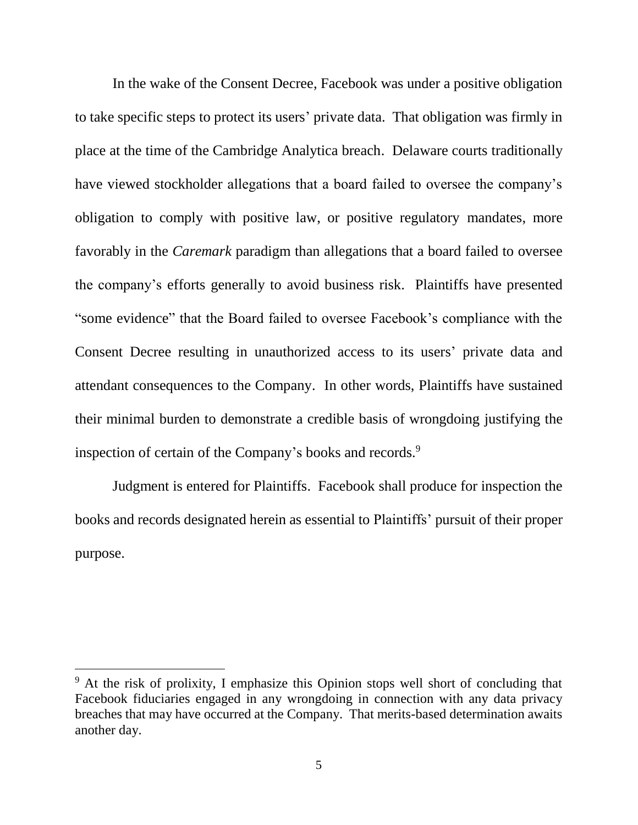In the wake of the Consent Decree, Facebook was under a positive obligation to take specific steps to protect its users' private data. That obligation was firmly in place at the time of the Cambridge Analytica breach. Delaware courts traditionally have viewed stockholder allegations that a board failed to oversee the company's obligation to comply with positive law, or positive regulatory mandates, more favorably in the *Caremark* paradigm than allegations that a board failed to oversee the company's efforts generally to avoid business risk. Plaintiffs have presented "some evidence" that the Board failed to oversee Facebook's compliance with the Consent Decree resulting in unauthorized access to its users' private data and attendant consequences to the Company. In other words, Plaintiffs have sustained their minimal burden to demonstrate a credible basis of wrongdoing justifying the inspection of certain of the Company's books and records.<sup>9</sup>

Judgment is entered for Plaintiffs. Facebook shall produce for inspection the books and records designated herein as essential to Plaintiffs' pursuit of their proper purpose.

<sup>&</sup>lt;sup>9</sup> At the risk of prolixity, I emphasize this Opinion stops well short of concluding that Facebook fiduciaries engaged in any wrongdoing in connection with any data privacy breaches that may have occurred at the Company. That merits-based determination awaits another day.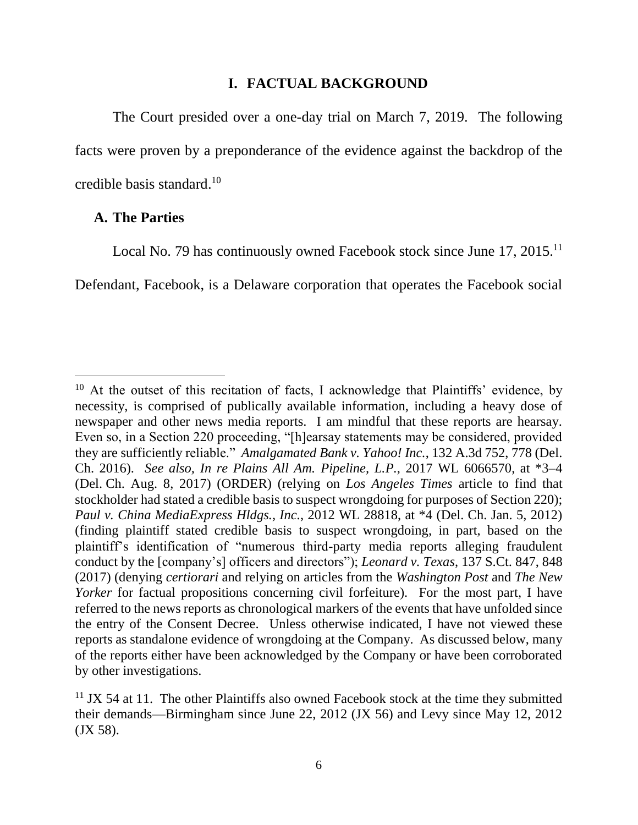#### **I. FACTUAL BACKGROUND**

The Court presided over a one-day trial on March 7, 2019. The following facts were proven by a preponderance of the evidence against the backdrop of the credible basis standard. 10

#### **A. The Parties**

 $\overline{a}$ 

Local No. 79 has continuously owned Facebook stock since June 17, 2015.<sup>11</sup>

Defendant, Facebook, is a Delaware corporation that operates the Facebook social

 $10$  At the outset of this recitation of facts, I acknowledge that Plaintiffs' evidence, by necessity, is comprised of publically available information, including a heavy dose of newspaper and other news media reports. I am mindful that these reports are hearsay. Even so, in a Section 220 proceeding, "[h]earsay statements may be considered, provided they are sufficiently reliable." *Amalgamated Bank v. Yahoo! Inc.*, 132 A.3d 752, 778 (Del. Ch. 2016). *See also, In re Plains All Am. Pipeline, L.P.*, 2017 WL 6066570, at \*3–4 (Del. Ch. Aug. 8, 2017) (ORDER) (relying on *Los Angeles Times* article to find that stockholder had stated a credible basis to suspect wrongdoing for purposes of Section 220); *Paul v. China MediaExpress Hldgs., Inc.*, 2012 WL 28818, at \*4 (Del. Ch. Jan. 5, 2012) (finding plaintiff stated credible basis to suspect wrongdoing, in part, based on the plaintiff's identification of "numerous third-party media reports alleging fraudulent conduct by the [company's] officers and directors"); *Leonard v. Texas*, 137 S.Ct. 847, 848 (2017) (denying *certiorari* and relying on articles from the *Washington Post* and *The New Yorker* for factual propositions concerning civil forfeiture). For the most part, I have referred to the news reports as chronological markers of the events that have unfolded since the entry of the Consent Decree. Unless otherwise indicated, I have not viewed these reports as standalone evidence of wrongdoing at the Company. As discussed below, many of the reports either have been acknowledged by the Company or have been corroborated by other investigations.

 $11$  JX 54 at 11. The other Plaintiffs also owned Facebook stock at the time they submitted their demands—Birmingham since June 22, 2012 (JX 56) and Levy since May 12, 2012 (JX 58).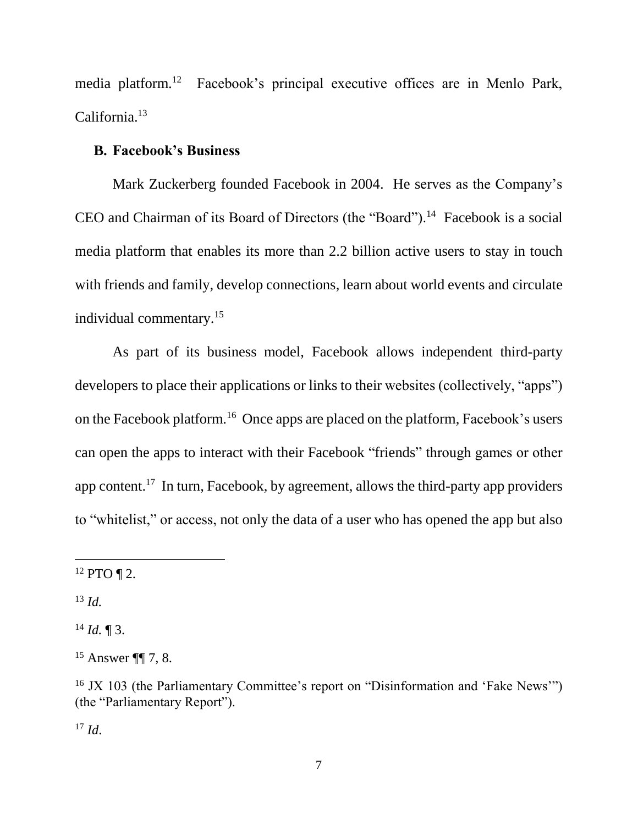media platform.<sup>12</sup> Facebook's principal executive offices are in Menlo Park, California.<sup>13</sup>

### **B. Facebook's Business**

Mark Zuckerberg founded Facebook in 2004. He serves as the Company's CEO and Chairman of its Board of Directors (the "Board").<sup>14</sup> Facebook is a social media platform that enables its more than 2.2 billion active users to stay in touch with friends and family, develop connections, learn about world events and circulate individual commentary. 15

As part of its business model, Facebook allows independent third-party developers to place their applications or links to their websites (collectively, "apps") on the Facebook platform.<sup>16</sup> Once apps are placed on the platform, Facebook's users can open the apps to interact with their Facebook "friends" through games or other app content.<sup>17</sup> In turn, Facebook, by agreement, allows the third-party app providers to "whitelist," or access, not only the data of a user who has opened the app but also

<sup>13</sup> *Id.*

 $\overline{a}$ 

 $^{14}$  *Id.*  $\blacksquare$  3.

 $17$  *Id.* 

 $12$  PTO  $\P$  2.

<sup>15</sup> Answer ¶¶ 7, 8.

<sup>&</sup>lt;sup>16</sup> JX 103 (the Parliamentary Committee's report on "Disinformation and 'Fake News'") (the "Parliamentary Report").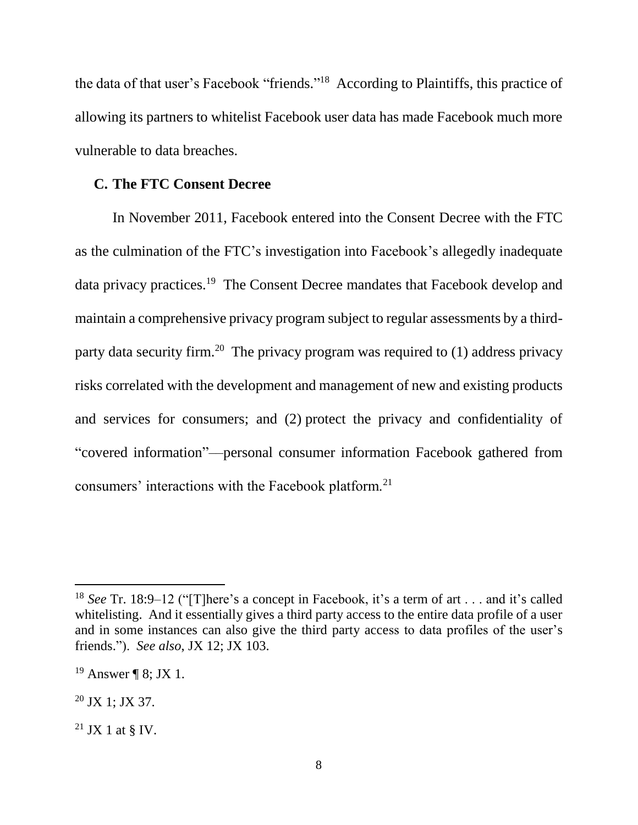the data of that user's Facebook "friends."<sup>18</sup> According to Plaintiffs, this practice of allowing its partners to whitelist Facebook user data has made Facebook much more vulnerable to data breaches.

#### **C. The FTC Consent Decree**

In November 2011, Facebook entered into the Consent Decree with the FTC as the culmination of the FTC's investigation into Facebook's allegedly inadequate data privacy practices.<sup>19</sup> The Consent Decree mandates that Facebook develop and maintain a comprehensive privacy program subject to regular assessments by a thirdparty data security firm.<sup>20</sup> The privacy program was required to  $(1)$  address privacy risks correlated with the development and management of new and existing products and services for consumers; and (2) protect the privacy and confidentiality of "covered information"––personal consumer information Facebook gathered from consumers' interactions with the Facebook platform.<sup>21</sup>

<sup>18</sup> *See* Tr. 18:9–12 ("[T]here's a concept in Facebook, it's a term of art . . . and it's called whitelisting. And it essentially gives a third party access to the entire data profile of a user and in some instances can also give the third party access to data profiles of the user's friends."). *See also*, JX 12; JX 103.

<sup>&</sup>lt;sup>19</sup> Answer ¶ 8; JX 1.

<sup>20</sup> JX 1; JX 37.

 $21$  JX 1 at § IV.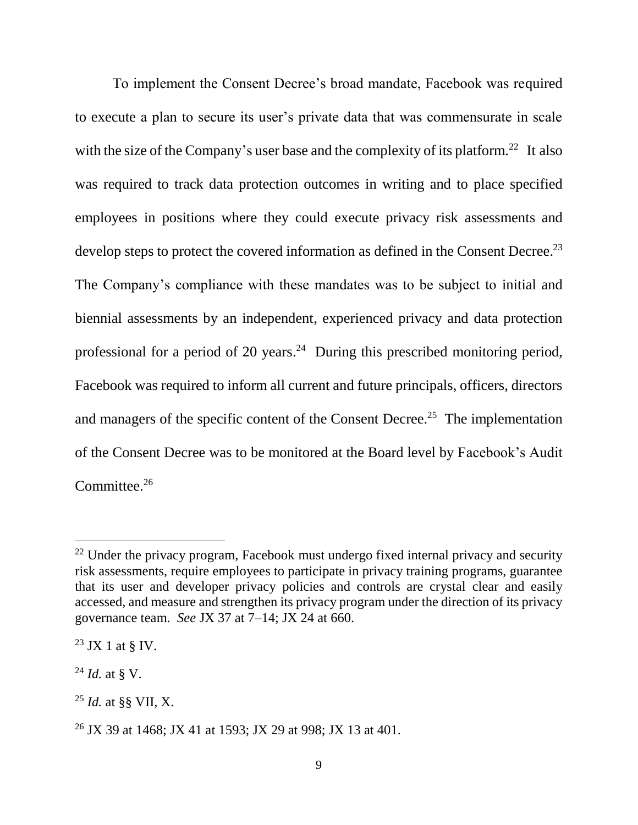To implement the Consent Decree's broad mandate, Facebook was required to execute a plan to secure its user's private data that was commensurate in scale with the size of the Company's user base and the complexity of its platform.<sup>22</sup> It also was required to track data protection outcomes in writing and to place specified employees in positions where they could execute privacy risk assessments and develop steps to protect the covered information as defined in the Consent Decree.<sup>23</sup> The Company's compliance with these mandates was to be subject to initial and biennial assessments by an independent, experienced privacy and data protection professional for a period of 20 years.<sup>24</sup> During this prescribed monitoring period, Facebook was required to inform all current and future principals, officers, directors and managers of the specific content of the Consent Decree.<sup>25</sup> The implementation of the Consent Decree was to be monitored at the Board level by Facebook's Audit Committee.<sup>26</sup>

 $22$  Under the privacy program, Facebook must undergo fixed internal privacy and security risk assessments, require employees to participate in privacy training programs, guarantee that its user and developer privacy policies and controls are crystal clear and easily accessed, and measure and strengthen its privacy program under the direction of its privacy governance team. *See* JX 37 at 7–14; JX 24 at 660.

 $^{23}$  JX 1 at  $\frac{8}{3}$  IV.

<sup>24</sup> *Id.* at § V.

<sup>25</sup> *Id.* at §§ VII, X.

<sup>26</sup> JX 39 at 1468; JX 41 at 1593; JX 29 at 998; JX 13 at 401.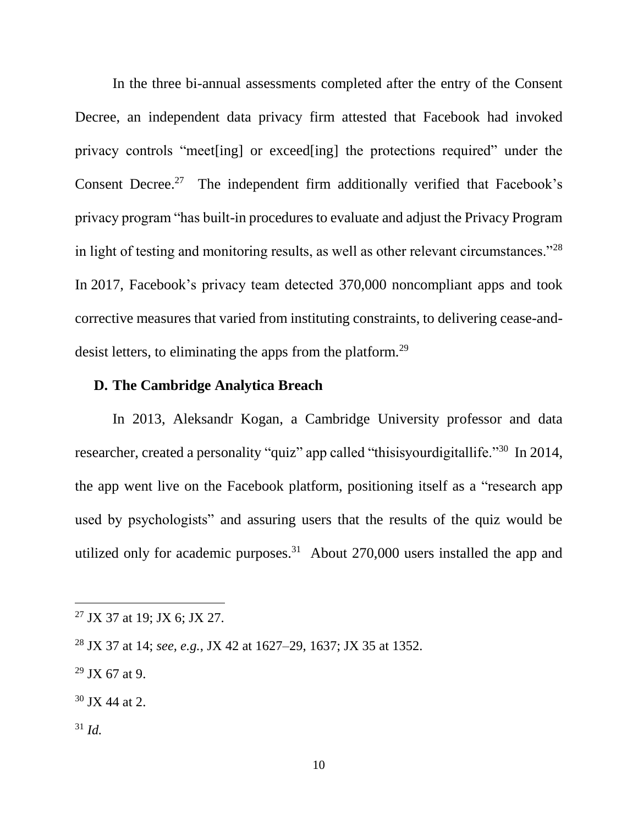In the three bi-annual assessments completed after the entry of the Consent Decree, an independent data privacy firm attested that Facebook had invoked privacy controls "meet[ing] or exceed[ing] the protections required" under the Consent Decree.<sup>27</sup> The independent firm additionally verified that Facebook's privacy program "has built-in procedures to evaluate and adjust the Privacy Program in light of testing and monitoring results, as well as other relevant circumstances."<sup>28</sup> In 2017, Facebook's privacy team detected 370,000 noncompliant apps and took corrective measures that varied from instituting constraints, to delivering cease-anddesist letters, to eliminating the apps from the platform.<sup>29</sup>

# **D. The Cambridge Analytica Breach**

In 2013, Aleksandr Kogan, a Cambridge University professor and data researcher, created a personality "quiz" app called "thisisyourdigitallife."<sup>30</sup> In 2014, the app went live on the Facebook platform, positioning itself as a "research app used by psychologists" and assuring users that the results of the quiz would be utilized only for academic purposes.<sup>31</sup> About  $270,000$  users installed the app and

- $29$  JX 67 at 9.
- $30$  JX 44 at 2.
- <sup>31</sup> *Id.*

<sup>27</sup> JX 37 at 19; JX 6; JX 27.

<sup>28</sup> JX 37 at 14; *see, e.g.*, JX 42 at 1627–29, 1637; JX 35 at 1352.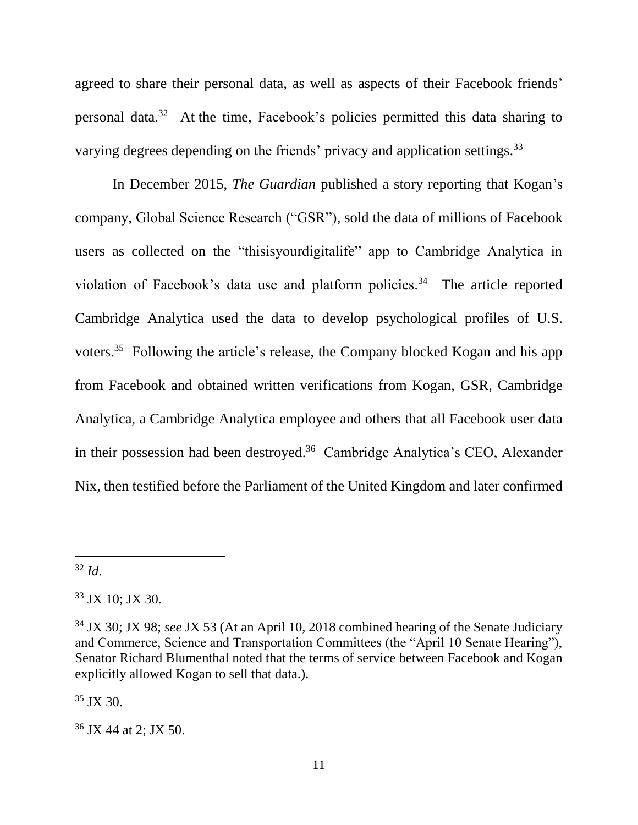agreed to share their personal data, as well as aspects of their Facebook friends' personal data.<sup>32</sup> At the time, Facebook's policies permitted this data sharing to varying degrees depending on the friends' privacy and application settings.<sup>33</sup>

In December 2015, *The Guardian* published a story reporting that Kogan's company, Global Science Research ("GSR"), sold the data of millions of Facebook users as collected on the "thisisyourdigitalife" app to Cambridge Analytica in violation of Facebook's data use and platform policies.<sup>34</sup> The article reported Cambridge Analytica used the data to develop psychological profiles of U.S. voters.<sup>35</sup> Following the article's release, the Company blocked Kogan and his app from Facebook and obtained written verifications from Kogan, GSR, Cambridge Analytica, a Cambridge Analytica employee and others that all Facebook user data in their possession had been destroyed.<sup>36</sup> Cambridge Analytica's CEO, Alexander Nix, then testified before the Parliament of the United Kingdom and later confirmed

<sup>32</sup> *Id*.

 $\overline{a}$ 

 $35$  JX 30.

<sup>33</sup> JX 10; JX 30.

<sup>34</sup> JX 30; JX 98; *see* JX 53 (At an April 10, 2018 combined hearing of the Senate Judiciary and Commerce, Science and Transportation Committees (the "April 10 Senate Hearing"), Senator Richard Blumenthal noted that the terms of service between Facebook and Kogan explicitly allowed Kogan to sell that data.).

<sup>36</sup> JX 44 at 2; JX 50.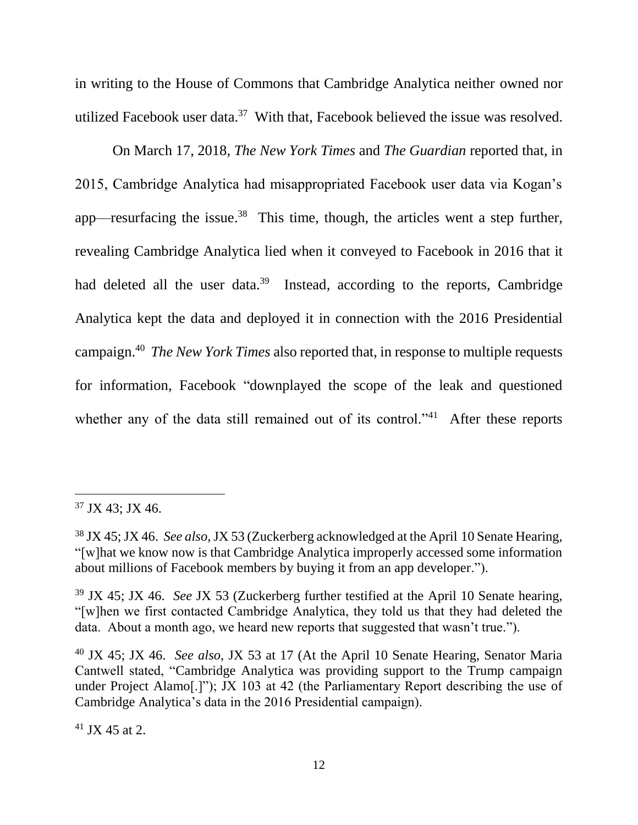in writing to the House of Commons that Cambridge Analytica neither owned nor utilized Facebook user data. $37$  With that, Facebook believed the issue was resolved.

On March 17, 2018, *The New York Times* and *The Guardian* reported that, in 2015, Cambridge Analytica had misappropriated Facebook user data via Kogan's app—resurfacing the issue.<sup>38</sup> This time, though, the articles went a step further, revealing Cambridge Analytica lied when it conveyed to Facebook in 2016 that it had deleted all the user data.<sup>39</sup> Instead, according to the reports, Cambridge Analytica kept the data and deployed it in connection with the 2016 Presidential campaign.<sup>40</sup> *The New York Times* also reported that, in response to multiple requests for information, Facebook "downplayed the scope of the leak and questioned whether any of the data still remained out of its control."<sup>41</sup> After these reports

 $41$  JX 45 at 2.

<sup>37</sup> JX 43; JX 46.

<sup>38</sup> JX 45; JX 46. *See also*,JX 53 (Zuckerberg acknowledged at the April 10 Senate Hearing, "[w]hat we know now is that Cambridge Analytica improperly accessed some information about millions of Facebook members by buying it from an app developer.").

<sup>39</sup> JX 45; JX 46. *See* JX 53 (Zuckerberg further testified at the April 10 Senate hearing, "[w]hen we first contacted Cambridge Analytica, they told us that they had deleted the data. About a month ago, we heard new reports that suggested that wasn't true.").

<sup>40</sup> JX 45; JX 46. *See also*, JX 53 at 17 (At the April 10 Senate Hearing, Senator Maria Cantwell stated, "Cambridge Analytica was providing support to the Trump campaign under Project Alamo[.]"); JX 103 at 42 (the Parliamentary Report describing the use of Cambridge Analytica's data in the 2016 Presidential campaign).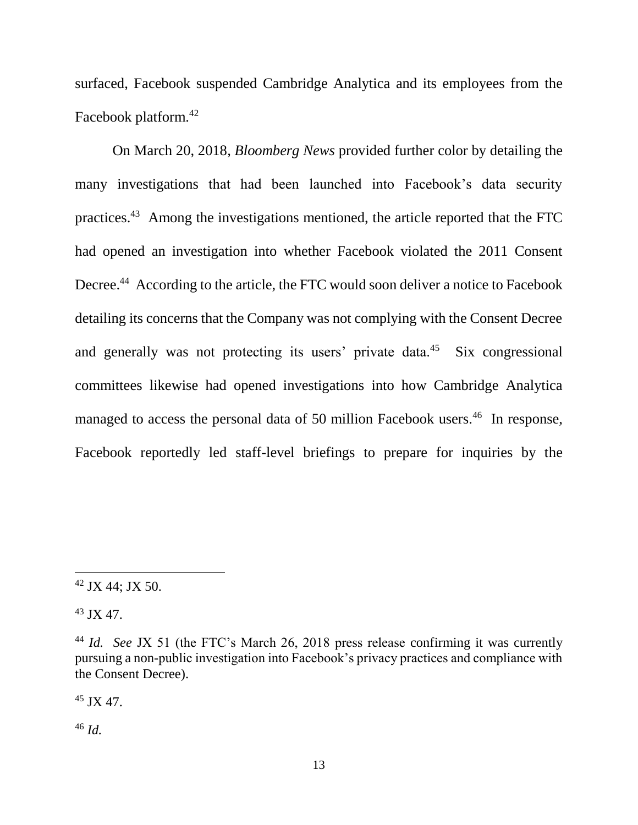surfaced, Facebook suspended Cambridge Analytica and its employees from the Facebook platform.<sup>42</sup>

On March 20, 2018*, Bloomberg News* provided further color by detailing the many investigations that had been launched into Facebook's data security practices.<sup>43</sup> Among the investigations mentioned, the article reported that the FTC had opened an investigation into whether Facebook violated the 2011 Consent Decree.<sup>44</sup> According to the article, the FTC would soon deliver a notice to Facebook detailing its concerns that the Company was not complying with the Consent Decree and generally was not protecting its users' private data.<sup>45</sup> Six congressional committees likewise had opened investigations into how Cambridge Analytica managed to access the personal data of 50 million Facebook users.<sup>46</sup> In response, Facebook reportedly led staff-level briefings to prepare for inquiries by the

<sup>43</sup> JX 47.

 $\overline{a}$ 

 $45 \text{ IX } 47.$ 

<sup>46</sup> *Id.*

 $42$  JX 44; JX 50.

<sup>44</sup> *Id. See* JX 51 (the FTC's March 26, 2018 press release confirming it was currently pursuing a non-public investigation into Facebook's privacy practices and compliance with the Consent Decree).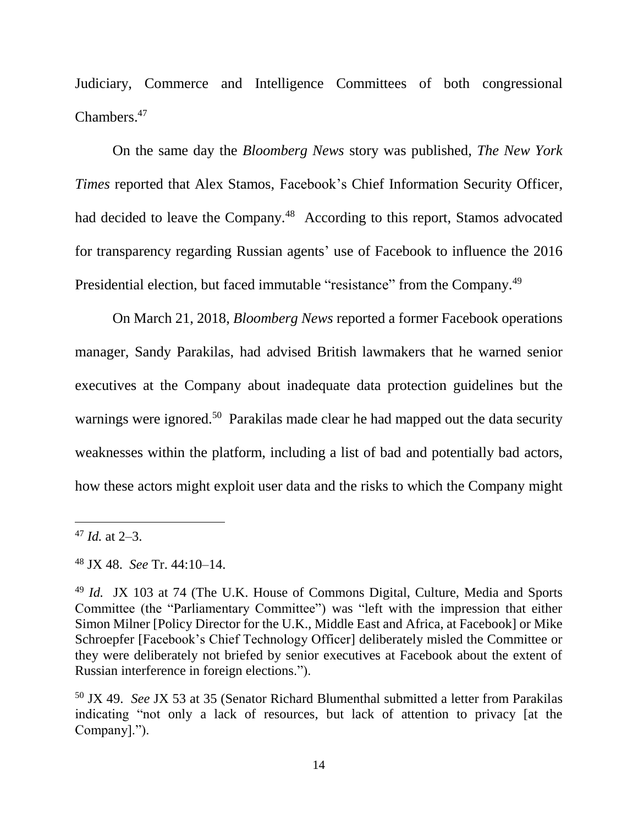Judiciary, Commerce and Intelligence Committees of both congressional Chambers.<sup>47</sup>

On the same day the *Bloomberg News* story was published, *The New York Times* reported that Alex Stamos, Facebook's Chief Information Security Officer, had decided to leave the Company.<sup>48</sup> According to this report, Stamos advocated for transparency regarding Russian agents' use of Facebook to influence the 2016 Presidential election, but faced immutable "resistance" from the Company.<sup>49</sup>

On March 21, 2018, *Bloomberg News* reported a former Facebook operations manager, Sandy Parakilas, had advised British lawmakers that he warned senior executives at the Company about inadequate data protection guidelines but the warnings were ignored.<sup>50</sup> Parakilas made clear he had mapped out the data security weaknesses within the platform, including a list of bad and potentially bad actors, how these actors might exploit user data and the risks to which the Company might

<sup>47</sup> *Id.* at 2–3.

<sup>48</sup> JX 48. *See* Tr. 44:10–14.

<sup>49</sup> *Id.* JX 103 at 74 (The U.K. House of Commons Digital, Culture, Media and Sports Committee (the "Parliamentary Committee") was "left with the impression that either Simon Milner [Policy Director for the U.K., Middle East and Africa, at Facebook] or Mike Schroepfer [Facebook's Chief Technology Officer] deliberately misled the Committee or they were deliberately not briefed by senior executives at Facebook about the extent of Russian interference in foreign elections.").

<sup>50</sup> JX 49. *See* JX 53 at 35 (Senator Richard Blumenthal submitted a letter from Parakilas indicating "not only a lack of resources, but lack of attention to privacy [at the Company].").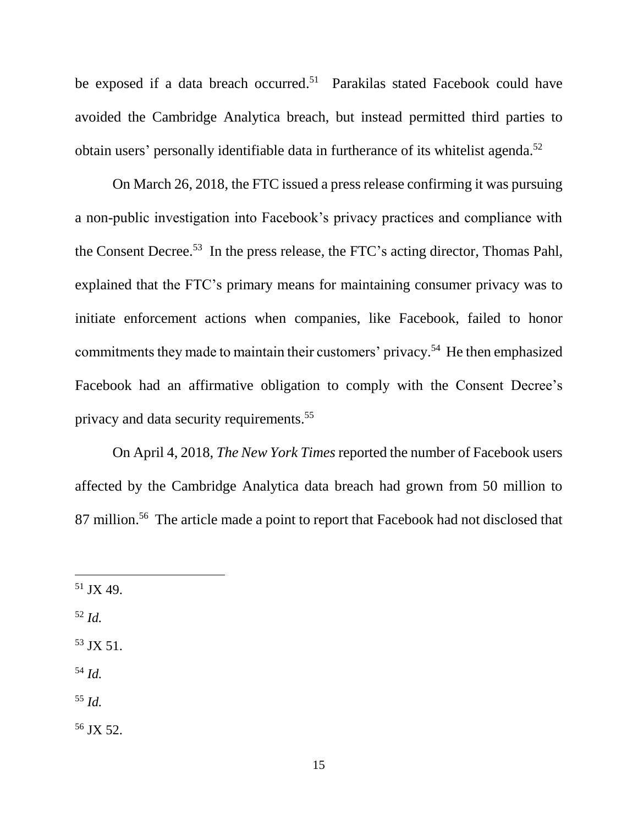be exposed if a data breach occurred. <sup>51</sup> Parakilas stated Facebook could have avoided the Cambridge Analytica breach, but instead permitted third parties to obtain users' personally identifiable data in furtherance of its whitelist agenda.<sup>52</sup>

On March 26, 2018, the FTC issued a press release confirming it was pursuing a non-public investigation into Facebook's privacy practices and compliance with the Consent Decree. <sup>53</sup> In the press release, the FTC's acting director, Thomas Pahl, explained that the FTC's primary means for maintaining consumer privacy was to initiate enforcement actions when companies, like Facebook, failed to honor commitments they made to maintain their customers' privacy. <sup>54</sup> He then emphasized Facebook had an affirmative obligation to comply with the Consent Decree's privacy and data security requirements.<sup>55</sup>

On April 4, 2018, *The New York Times* reported the number of Facebook users affected by the Cambridge Analytica data breach had grown from 50 million to 87 million.<sup>56</sup> The article made a point to report that Facebook had not disclosed that

<sup>52</sup> *Id.*

 $\overline{a}$ 

- $53$  JX 51.
- <sup>54</sup> *Id.*
- <sup>55</sup> *Id.*

<sup>56</sup> JX 52.

<sup>51</sup> JX 49.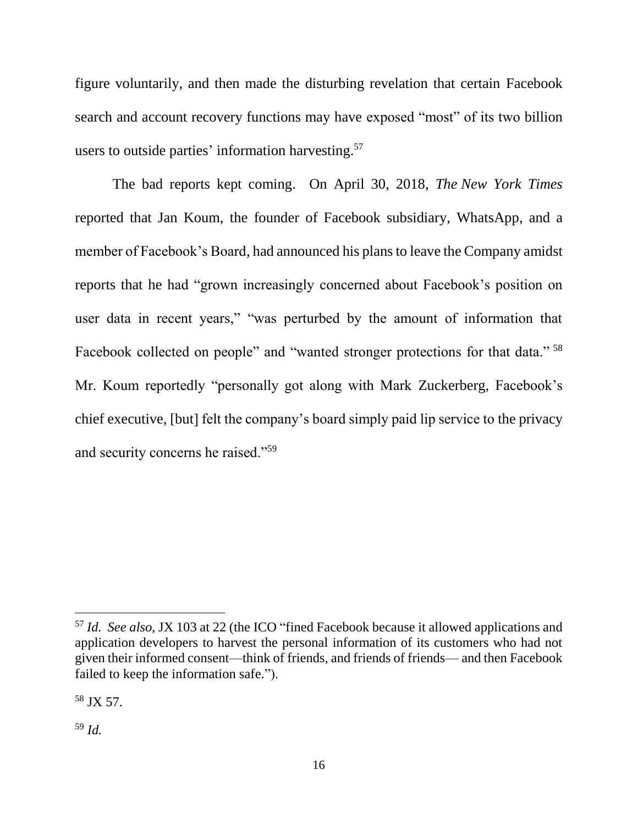figure voluntarily, and then made the disturbing revelation that certain Facebook search and account recovery functions may have exposed "most" of its two billion users to outside parties' information harvesting.<sup>57</sup>

The bad reports kept coming. On April 30, 2018, *The New York Times* reported that Jan Koum, the founder of Facebook subsidiary, WhatsApp, and a member of Facebook's Board, had announced his plans to leave the Company amidst reports that he had "grown increasingly concerned about Facebook's position on user data in recent years," "was perturbed by the amount of information that Facebook collected on people" and "wanted stronger protections for that data."<sup>58</sup> Mr. Koum reportedly "personally got along with Mark Zuckerberg, Facebook's chief executive, [but] felt the company's board simply paid lip service to the privacy and security concerns he raised."<sup>59</sup>

<sup>57</sup> *Id. See also*, JX 103 at 22 (the ICO "fined Facebook because it allowed applications and application developers to harvest the personal information of its customers who had not given their informed consent—think of friends, and friends of friends— and then Facebook failed to keep the information safe.").

<sup>58</sup> JX 57.

<sup>59</sup> *Id.*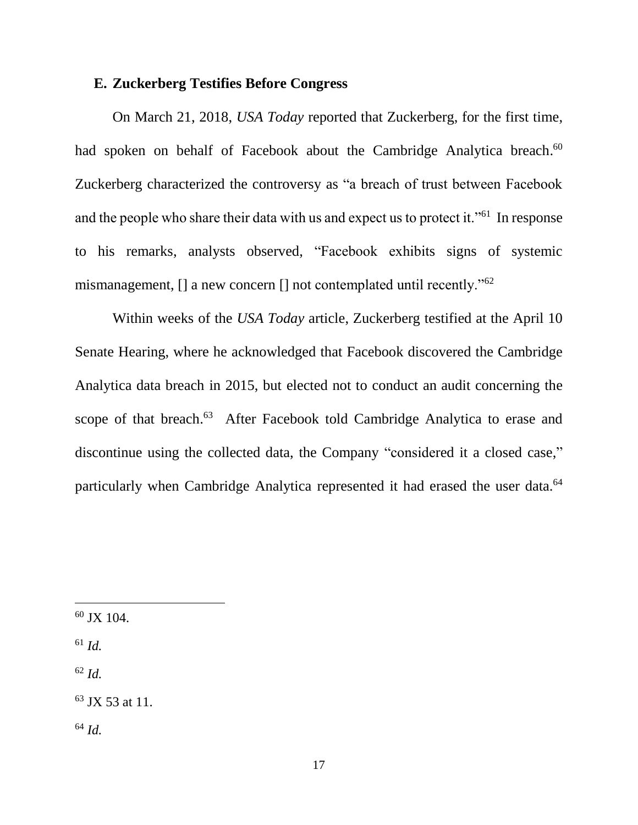#### **E. Zuckerberg Testifies Before Congress**

On March 21, 2018, *USA Today* reported that Zuckerberg, for the first time, had spoken on behalf of Facebook about the Cambridge Analytica breach.<sup>60</sup> Zuckerberg characterized the controversy as "a breach of trust between Facebook and the people who share their data with us and expect us to protect it."<sup>61</sup> In response to his remarks, analysts observed, "Facebook exhibits signs of systemic mismanagement,  $\lceil \cdot \rceil$  a new concern  $\lceil \cdot \rceil$  not contemplated until recently."<sup>62</sup>

Within weeks of the *USA Today* article, Zuckerberg testified at the April 10 Senate Hearing, where he acknowledged that Facebook discovered the Cambridge Analytica data breach in 2015, but elected not to conduct an audit concerning the scope of that breach.<sup>63</sup> After Facebook told Cambridge Analytica to erase and discontinue using the collected data, the Company "considered it a closed case," particularly when Cambridge Analytica represented it had erased the user data.<sup>64</sup>

<sup>61</sup> *Id.*

<sup>62</sup> *Id.*

<sup>63</sup> JX 53 at 11.

<sup>64</sup> *Id.*

 $60$  JX 104.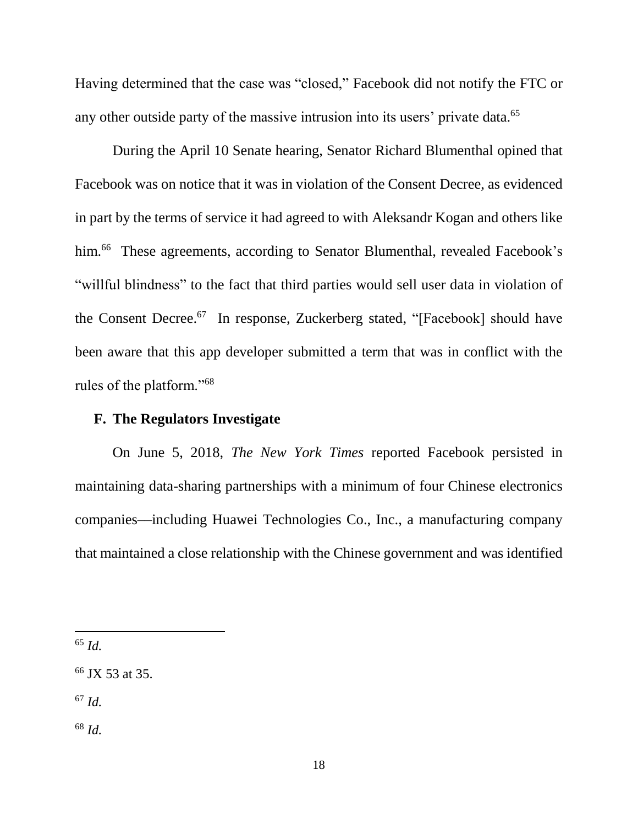Having determined that the case was "closed," Facebook did not notify the FTC or any other outside party of the massive intrusion into its users' private data.<sup>65</sup>

During the April 10 Senate hearing, Senator Richard Blumenthal opined that Facebook was on notice that it was in violation of the Consent Decree, as evidenced in part by the terms of service it had agreed to with Aleksandr Kogan and others like him.<sup>66</sup> These agreements, according to Senator Blumenthal, revealed Facebook's "willful blindness" to the fact that third parties would sell user data in violation of the Consent Decree. <sup>67</sup> In response, Zuckerberg stated, "[Facebook] should have been aware that this app developer submitted a term that was in conflict with the rules of the platform."<sup>68</sup>

# **F. The Regulators Investigate**

On June 5, 2018, *The New York Times* reported Facebook persisted in maintaining data-sharing partnerships with a minimum of four Chinese electronics companies––including Huawei Technologies Co., Inc., a manufacturing company that maintained a close relationship with the Chinese government and was identified

<sup>65</sup> *Id.*

<sup>66</sup> JX 53 at 35.

<sup>67</sup> *Id.*

<sup>68</sup> *Id.*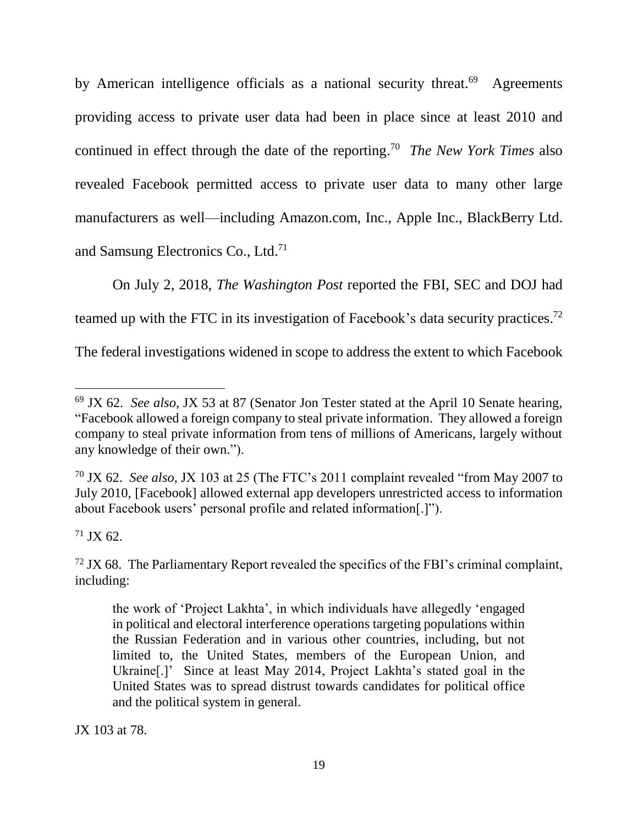by American intelligence officials as a national security threat.<sup>69</sup> Agreements providing access to private user data had been in place since at least 2010 and continued in effect through the date of the reporting. <sup>70</sup> *The New York Times* also revealed Facebook permitted access to private user data to many other large manufacturers as well––including Amazon.com, Inc., Apple Inc., BlackBerry Ltd. and Samsung Electronics Co., Ltd.<sup>71</sup>

On July 2, 2018, *The Washington Post* reported the FBI, SEC and DOJ had teamed up with the FTC in its investigation of Facebook's data security practices. 72 The federal investigations widened in scope to address the extent to which Facebook

 $71$  JX 62.

JX 103 at 78.

 <sup>69</sup> JX 62. *See also*, JX 53 at 87 (Senator Jon Tester stated at the April 10 Senate hearing, "Facebook allowed a foreign company to steal private information. They allowed a foreign company to steal private information from tens of millions of Americans, largely without any knowledge of their own.").

<sup>70</sup> JX 62. *See also*, JX 103 at 25 (The FTC's 2011 complaint revealed "from May 2007 to July 2010, [Facebook] allowed external app developers unrestricted access to information about Facebook users' personal profile and related information[.]").

 $72$  JX 68. The Parliamentary Report revealed the specifics of the FBI's criminal complaint, including:

the work of 'Project Lakhta', in which individuals have allegedly 'engaged in political and electoral interference operations targeting populations within the Russian Federation and in various other countries, including, but not limited to, the United States, members of the European Union, and Ukraine[.]' Since at least May 2014, Project Lakhta's stated goal in the United States was to spread distrust towards candidates for political office and the political system in general.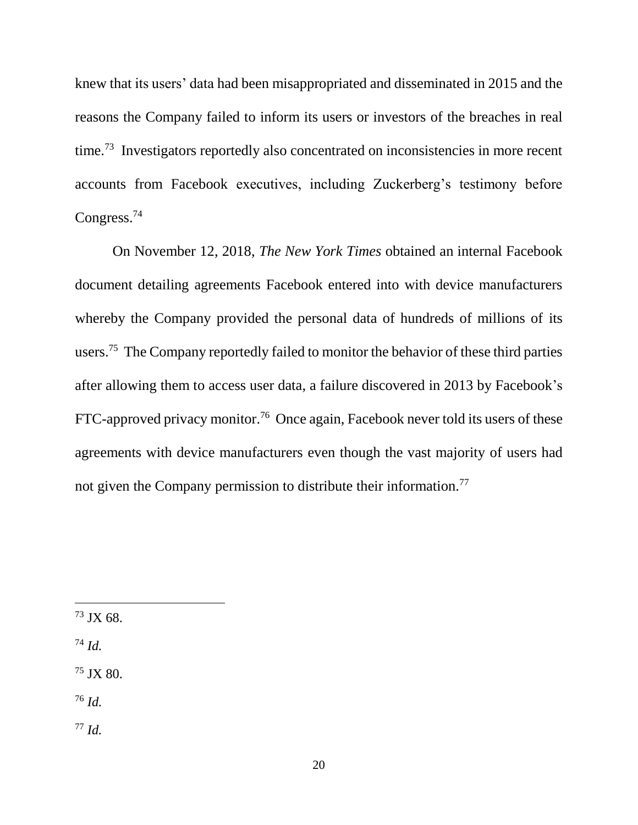knew that its users' data had been misappropriated and disseminated in 2015 and the reasons the Company failed to inform its users or investors of the breaches in real time.<sup>73</sup> Investigators reportedly also concentrated on inconsistencies in more recent accounts from Facebook executives, including Zuckerberg's testimony before Congress.<sup>74</sup>

On November 12, 2018, *The New York Times* obtained an internal Facebook document detailing agreements Facebook entered into with device manufacturers whereby the Company provided the personal data of hundreds of millions of its users.<sup>75</sup> The Company reportedly failed to monitor the behavior of these third parties after allowing them to access user data, a failure discovered in 2013 by Facebook's FTC-approved privacy monitor.<sup>76</sup> Once again, Facebook never told its users of these agreements with device manufacturers even though the vast majority of users had not given the Company permission to distribute their information.<sup>77</sup>

<sup>74</sup> *Id.*

<sup>75</sup> JX 80.

<sup>76</sup> *Id.*

<sup>77</sup> *Id.*

<sup>73</sup> JX 68.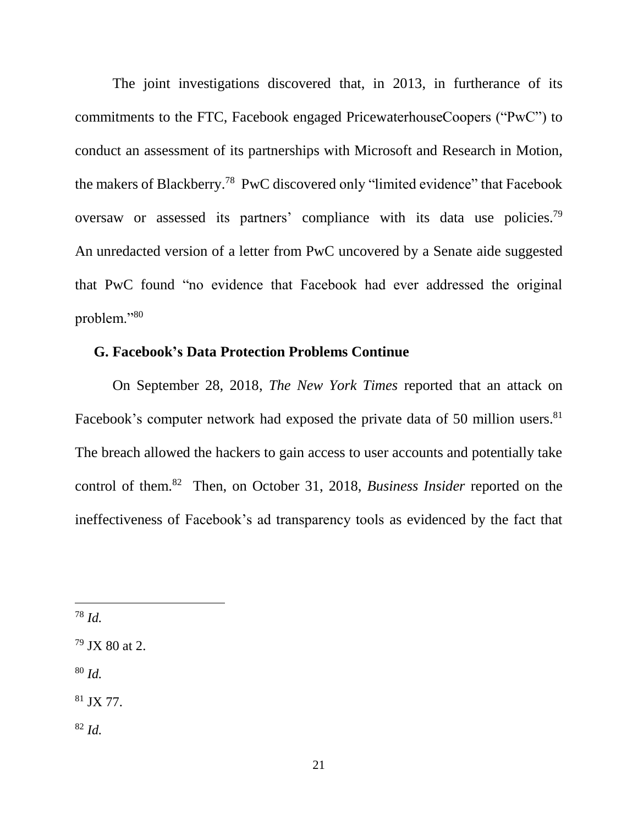The joint investigations discovered that, in 2013, in furtherance of its commitments to the FTC, Facebook engaged PricewaterhouseCoopers ("PwC") to conduct an assessment of its partnerships with Microsoft and Research in Motion, the makers of Blackberry.<sup>78</sup> PwC discovered only "limited evidence" that Facebook oversaw or assessed its partners' compliance with its data use policies.<sup>79</sup> An unredacted version of a letter from PwC uncovered by a Senate aide suggested that PwC found "no evidence that Facebook had ever addressed the original problem."<sup>80</sup>

### **G. Facebook's Data Protection Problems Continue**

On September 28, 2018, *The New York Times* reported that an attack on Facebook's computer network had exposed the private data of 50 million users.<sup>81</sup> The breach allowed the hackers to gain access to user accounts and potentially take control of them.<sup>82</sup> Then, on October 31, 2018, *Business Insider* reported on the ineffectiveness of Facebook's ad transparency tools as evidenced by the fact that

<sup>80</sup> *Id.*

<sup>81</sup> JX 77.

<sup>82</sup> *Id.*

<sup>78</sup> *Id.*

 $79$  JX 80 at 2.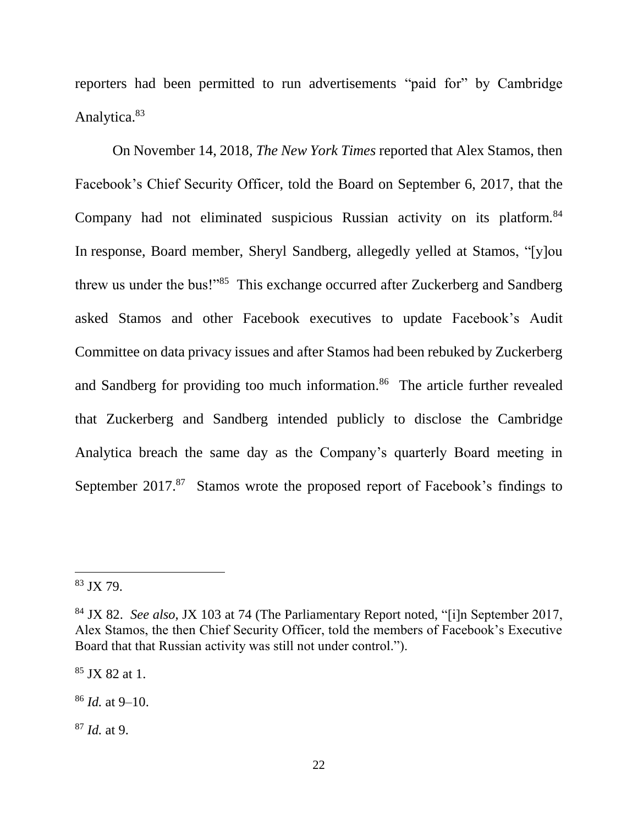reporters had been permitted to run advertisements "paid for" by Cambridge Analytica.<sup>83</sup>

On November 14, 2018, *The New York Times* reported that Alex Stamos, then Facebook's Chief Security Officer, told the Board on September 6, 2017, that the Company had not eliminated suspicious Russian activity on its platform.<sup>84</sup> In response, Board member, Sheryl Sandberg, allegedly yelled at Stamos, "[y]ou threw us under the bus!"<sup>85</sup> This exchange occurred after Zuckerberg and Sandberg asked Stamos and other Facebook executives to update Facebook's Audit Committee on data privacy issues and after Stamos had been rebuked by Zuckerberg and Sandberg for providing too much information.<sup>86</sup> The article further revealed that Zuckerberg and Sandberg intended publicly to disclose the Cambridge Analytica breach the same day as the Company's quarterly Board meeting in September 2017.<sup>87</sup> Stamos wrote the proposed report of Facebook's findings to

 $\overline{a}$ 

<sup>85</sup> JX 82 at 1.

<sup>86</sup> *Id.* at 9–10.

<sup>87</sup> *Id.* at 9.

<sup>83</sup> JX 79.

<sup>84</sup> JX 82. *See also*, JX 103 at 74 (The Parliamentary Report noted, "[i]n September 2017, Alex Stamos, the then Chief Security Officer, told the members of Facebook's Executive Board that that Russian activity was still not under control.").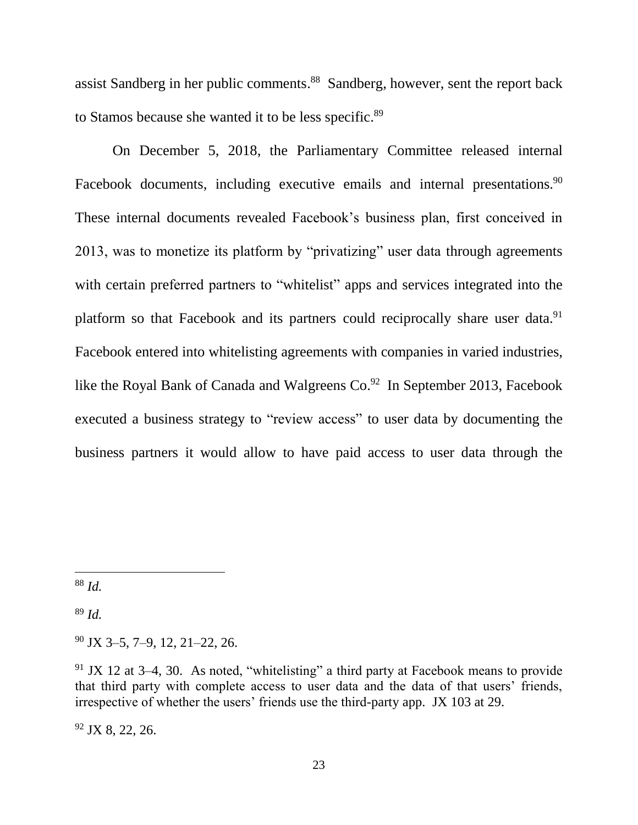assist Sandberg in her public comments.<sup>88</sup> Sandberg, however, sent the report back to Stamos because she wanted it to be less specific.<sup>89</sup>

On December 5, 2018, the Parliamentary Committee released internal Facebook documents, including executive emails and internal presentations.<sup>90</sup> These internal documents revealed Facebook's business plan, first conceived in 2013, was to monetize its platform by "privatizing" user data through agreements with certain preferred partners to "whitelist" apps and services integrated into the platform so that Facebook and its partners could reciprocally share user data.<sup>91</sup> Facebook entered into whitelisting agreements with companies in varied industries, like the Royal Bank of Canada and Walgreens  $Co^{92}$  In September 2013, Facebook executed a business strategy to "review access" to user data by documenting the business partners it would allow to have paid access to user data through the

 $\overline{a}$ 

<sup>89</sup> *Id.*

 $92$  JX 8, 22, 26.

<sup>88</sup> *Id.*

<sup>90</sup> JX 3–5, 7–9, 12, 21–22, 26.

 $91$  JX 12 at 3–4, 30. As noted, "whitelisting" a third party at Facebook means to provide that third party with complete access to user data and the data of that users' friends, irrespective of whether the users' friends use the third-party app. JX 103 at 29.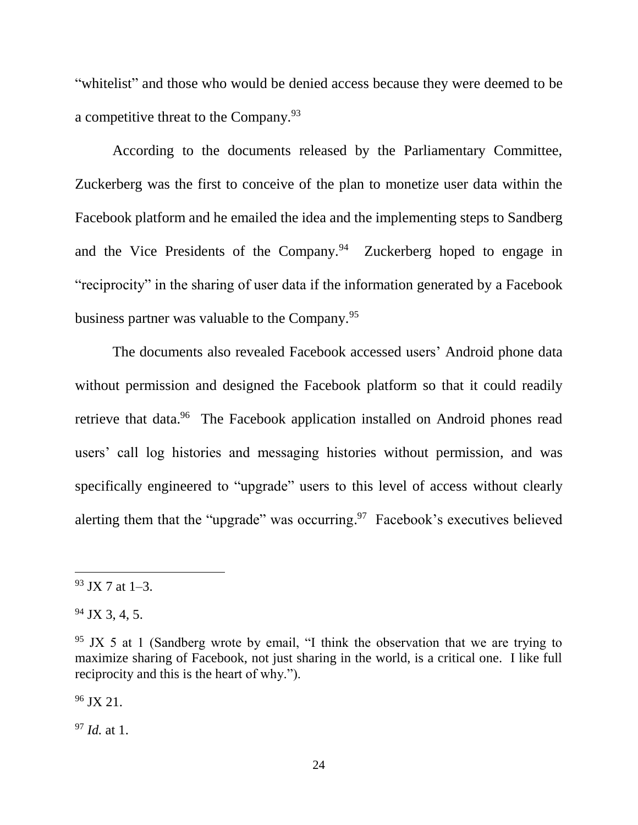"whitelist" and those who would be denied access because they were deemed to be a competitive threat to the Company.<sup>93</sup>

According to the documents released by the Parliamentary Committee, Zuckerberg was the first to conceive of the plan to monetize user data within the Facebook platform and he emailed the idea and the implementing steps to Sandberg and the Vice Presidents of the Company.<sup>94</sup> Zuckerberg hoped to engage in "reciprocity" in the sharing of user data if the information generated by a Facebook business partner was valuable to the Company.<sup>95</sup>

The documents also revealed Facebook accessed users' Android phone data without permission and designed the Facebook platform so that it could readily retrieve that data.<sup>96</sup> The Facebook application installed on Android phones read users' call log histories and messaging histories without permission, and was specifically engineered to "upgrade" users to this level of access without clearly alerting them that the "upgrade" was occurring.<sup>97</sup> Facebook's executives believed

 $\overline{a}$ 

 $96$  JX 21.

<sup>97</sup> *Id.* at 1.

 $93$  JX 7 at 1–3.

 $94$  JX 3, 4, 5.

 $95$  JX 5 at 1 (Sandberg wrote by email, "I think the observation that we are trying to maximize sharing of Facebook, not just sharing in the world, is a critical one. I like full reciprocity and this is the heart of why.").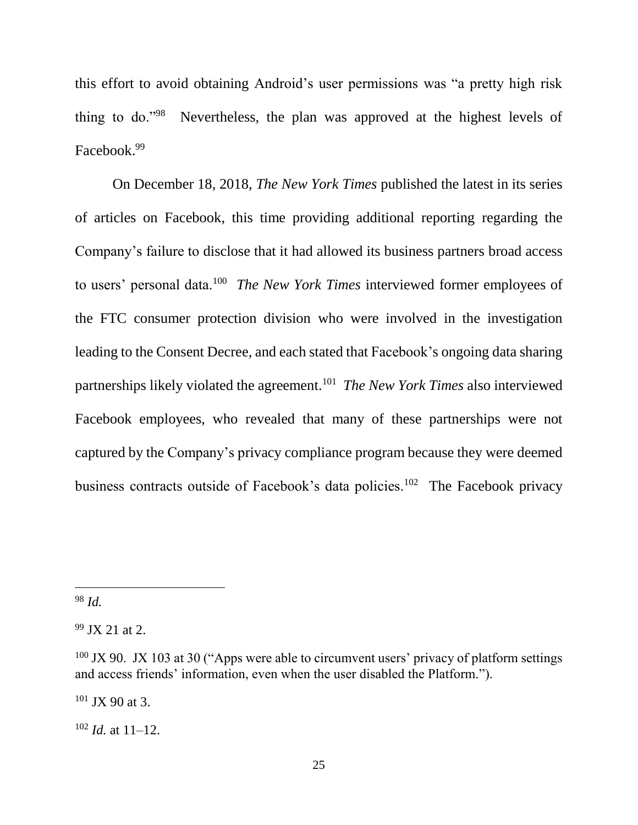this effort to avoid obtaining Android's user permissions was "a pretty high risk thing to do."<sup>98</sup> Nevertheless, the plan was approved at the highest levels of Facebook. 99

On December 18, 2018, *The New York Times* published the latest in its series of articles on Facebook, this time providing additional reporting regarding the Company's failure to disclose that it had allowed its business partners broad access to users' personal data.<sup>100</sup> *The New York Times* interviewed former employees of the FTC consumer protection division who were involved in the investigation leading to the Consent Decree, and each stated that Facebook's ongoing data sharing partnerships likely violated the agreement.<sup>101</sup> *The New York Times* also interviewed Facebook employees, who revealed that many of these partnerships were not captured by the Company's privacy compliance program because they were deemed business contracts outside of Facebook's data policies.<sup>102</sup> The Facebook privacy

 $\overline{a}$ 

 $101$  JX 90 at 3.

 $102$  *Id.* at 11–12.

<sup>98</sup> *Id.*

 $99$  JX 21 at 2.

 $100$  JX 90. JX 103 at 30 ("Apps were able to circumvent users' privacy of platform settings and access friends' information, even when the user disabled the Platform.").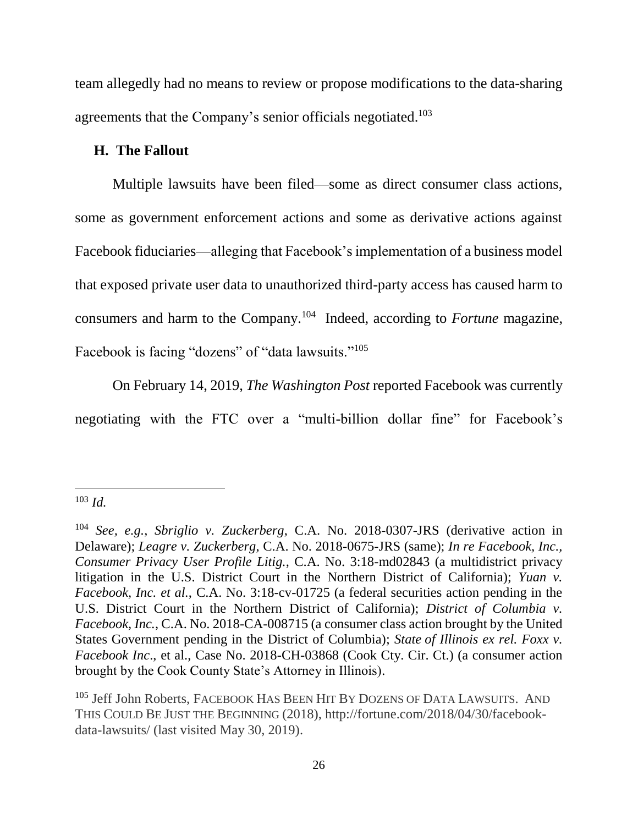team allegedly had no means to review or propose modifications to the data-sharing agreements that the Company's senior officials negotiated.<sup>103</sup>

### **H. The Fallout**

Multiple lawsuits have been filed—some as direct consumer class actions, some as government enforcement actions and some as derivative actions against Facebook fiduciaries—alleging that Facebook's implementation of a business model that exposed private user data to unauthorized third-party access has caused harm to consumers and harm to the Company.<sup>104</sup> Indeed, according to *Fortune* magazine, Facebook is facing "dozens" of "data lawsuits."<sup>105</sup>

On February 14, 2019, *The Washington Post* reported Facebook was currently negotiating with the FTC over a "multi-billion dollar fine" for Facebook's

<sup>103</sup> *Id.*

<sup>104</sup> *See, e.g.*, *Sbriglio v. Zuckerberg*, C.A. No. 2018-0307-JRS (derivative action in Delaware); *Leagre v. Zuckerberg*, C.A. No. 2018-0675-JRS (same); *In re Facebook, Inc., Consumer Privacy User Profile Litig.*, C.A. No. 3:18-md02843 (a multidistrict privacy litigation in the U.S. District Court in the Northern District of California); *Yuan v. Facebook, Inc. et al.*, C.A. No. 3:18-cv-01725 (a federal securities action pending in the U.S. District Court in the Northern District of California); *District of Columbia v. Facebook, Inc.*, C.A. No. 2018-CA-008715 (a consumer class action brought by the United States Government pending in the District of Columbia); *State of Illinois ex rel. Foxx v. Facebook Inc*., et al., Case No. 2018-CH-03868 (Cook Cty. Cir. Ct.) (a consumer action brought by the Cook County State's Attorney in Illinois).

<sup>&</sup>lt;sup>105</sup> Jeff John Roberts, FACEBOOK HAS BEEN HIT BY DOZENS OF DATA LAWSUITS. AND THIS COULD BE JUST THE BEGINNING (2018), http://fortune.com/2018/04/30/facebookdata-lawsuits/ (last visited May 30, 2019).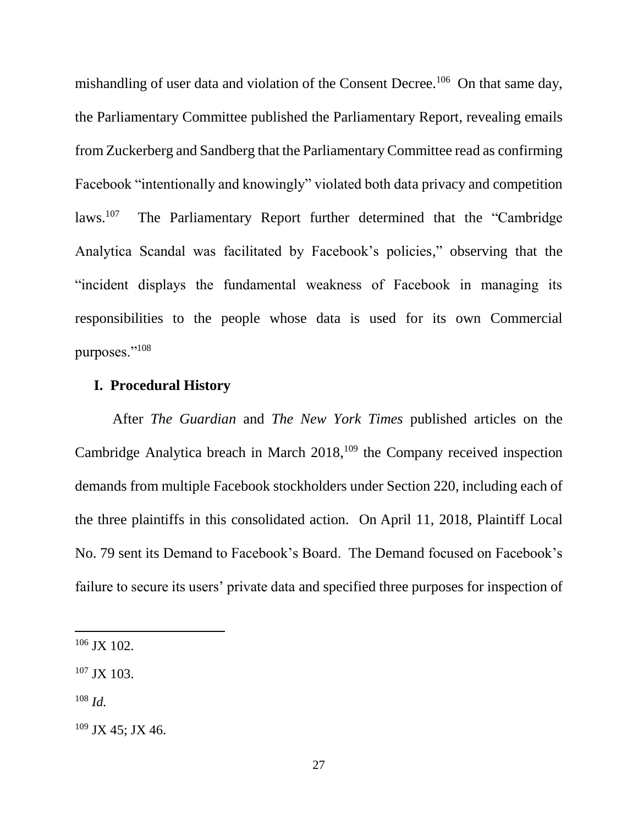mishandling of user data and violation of the Consent Decree.<sup>106</sup> On that same day, the Parliamentary Committee published the Parliamentary Report, revealing emails from Zuckerberg and Sandberg that the Parliamentary Committee read as confirming Facebook "intentionally and knowingly" violated both data privacy and competition laws.<sup>107</sup> The Parliamentary Report further determined that the "Cambridge Analytica Scandal was facilitated by Facebook's policies," observing that the "incident displays the fundamental weakness of Facebook in managing its responsibilities to the people whose data is used for its own Commercial purposes."<sup>108</sup>

#### **I. Procedural History**

After *The Guardian* and *The New York Times* published articles on the Cambridge Analytica breach in March 2018,<sup>109</sup> the Company received inspection demands from multiple Facebook stockholders under Section 220, including each of the three plaintiffs in this consolidated action. On April 11, 2018, Plaintiff Local No. 79 sent its Demand to Facebook's Board. The Demand focused on Facebook's failure to secure its users' private data and specified three purposes for inspection of

 $106$  JX 102.

<sup>107</sup> JX 103.

<sup>108</sup> *Id.*

 $109$  JX 45; JX 46.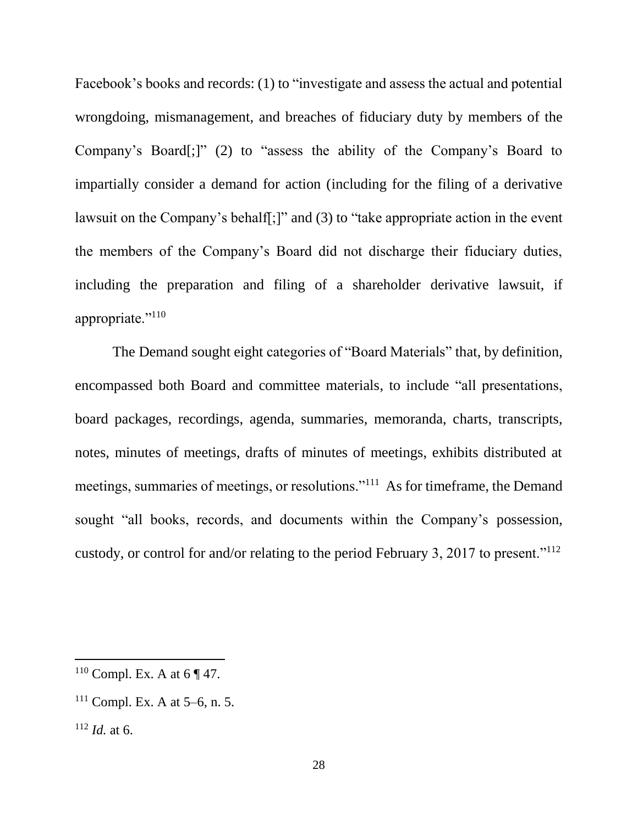Facebook's books and records: (1) to "investigate and assess the actual and potential wrongdoing, mismanagement, and breaches of fiduciary duty by members of the Company's Board[;]" (2) to "assess the ability of the Company's Board to impartially consider a demand for action (including for the filing of a derivative lawsuit on the Company's behalf[;]" and (3) to "take appropriate action in the event the members of the Company's Board did not discharge their fiduciary duties, including the preparation and filing of a shareholder derivative lawsuit, if appropriate."<sup>110</sup>

The Demand sought eight categories of "Board Materials" that, by definition, encompassed both Board and committee materials, to include "all presentations, board packages, recordings, agenda, summaries, memoranda, charts, transcripts, notes, minutes of meetings, drafts of minutes of meetings, exhibits distributed at meetings, summaries of meetings, or resolutions."<sup>111</sup> As for timeframe, the Demand sought "all books, records, and documents within the Company's possession, custody, or control for and/or relating to the period February 3, 2017 to present."<sup>112</sup>

<sup>&</sup>lt;sup>110</sup> Compl. Ex. A at  $6 \sqrt{47}$ .

 $111$  Compl. Ex. A at 5–6, n. 5.

<sup>112</sup> *Id.* at 6.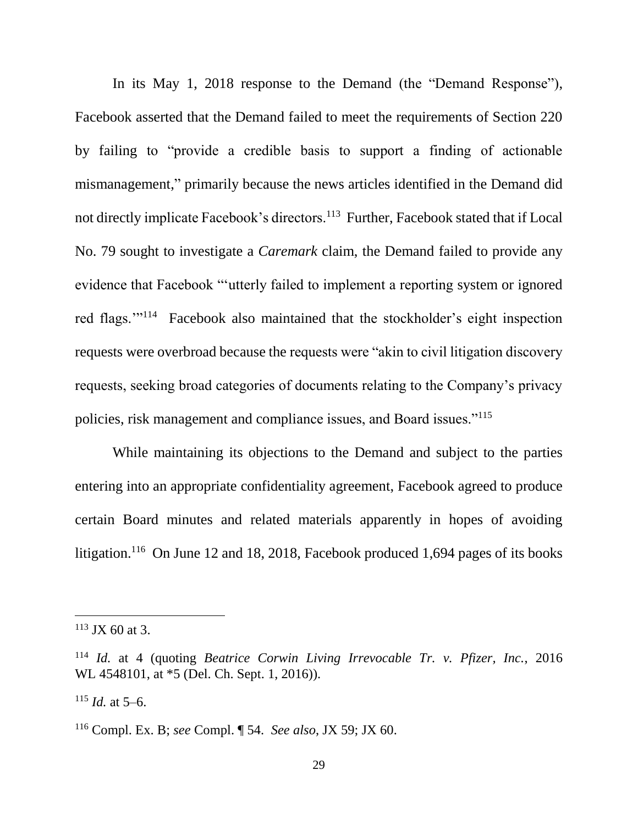In its May 1, 2018 response to the Demand (the "Demand Response"), Facebook asserted that the Demand failed to meet the requirements of Section 220 by failing to "provide a credible basis to support a finding of actionable mismanagement," primarily because the news articles identified in the Demand did not directly implicate Facebook's directors.<sup>113</sup> Further, Facebook stated that if Local No. 79 sought to investigate a *Caremark* claim, the Demand failed to provide any evidence that Facebook "'utterly failed to implement a reporting system or ignored red flags.'"<sup>114</sup> Facebook also maintained that the stockholder's eight inspection requests were overbroad because the requests were "akin to civil litigation discovery requests, seeking broad categories of documents relating to the Company's privacy policies, risk management and compliance issues, and Board issues."<sup>115</sup>

While maintaining its objections to the Demand and subject to the parties entering into an appropriate confidentiality agreement, Facebook agreed to produce certain Board minutes and related materials apparently in hopes of avoiding litigation.<sup>116</sup> On June 12 and 18, 2018, Facebook produced 1,694 pages of its books

 $113$  JX 60 at 3.

<sup>114</sup> *Id.* at 4 (quoting *Beatrice Corwin Living Irrevocable Tr. v. Pfizer, Inc.*, 2016 WL 4548101, at \*5 (Del. Ch. Sept. 1, 2016)).

 $115$  *Id.* at 5–6.

<sup>116</sup> Compl. Ex. B; *see* Compl. ¶ 54. *See also*, JX 59; JX 60.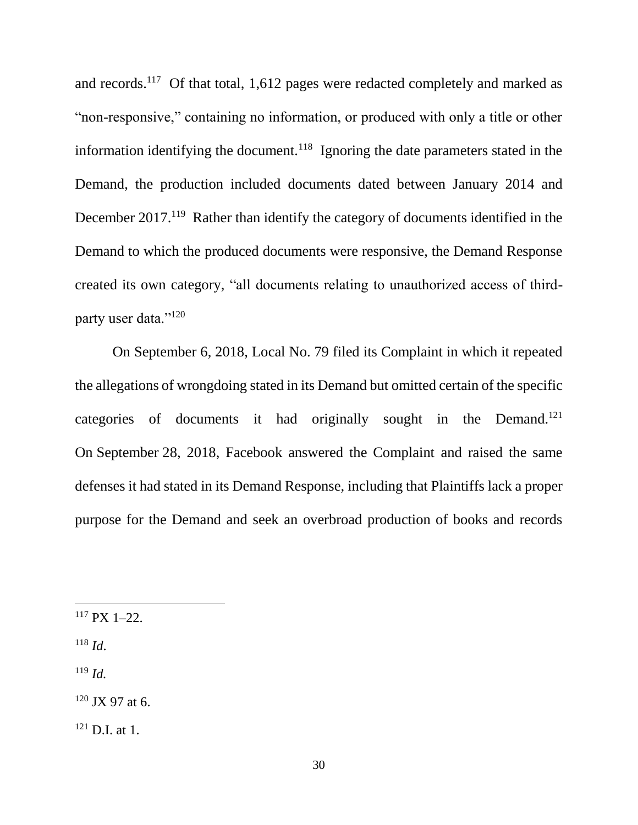and records.<sup>117</sup> Of that total, 1,612 pages were redacted completely and marked as "non-responsive," containing no information, or produced with only a title or other information identifying the document.<sup>118</sup> Ignoring the date parameters stated in the Demand, the production included documents dated between January 2014 and December 2017.<sup>119</sup> Rather than identify the category of documents identified in the Demand to which the produced documents were responsive, the Demand Response created its own category, "all documents relating to unauthorized access of thirdparty user data."<sup>120</sup>

On September 6, 2018, Local No. 79 filed its Complaint in which it repeated the allegations of wrongdoing stated in its Demand but omitted certain of the specific categories of documents it had originally sought in the Demand.<sup>121</sup> On September 28, 2018, Facebook answered the Complaint and raised the same defenses it had stated in its Demand Response, including that Plaintiffs lack a proper purpose for the Demand and seek an overbroad production of books and records

<sup>118</sup> *Id*.

<sup>119</sup> *Id.*

<sup>120</sup> JX 97 at 6.

 $121$  D.I. at 1.

 $117 \text{ pX}$  1–22.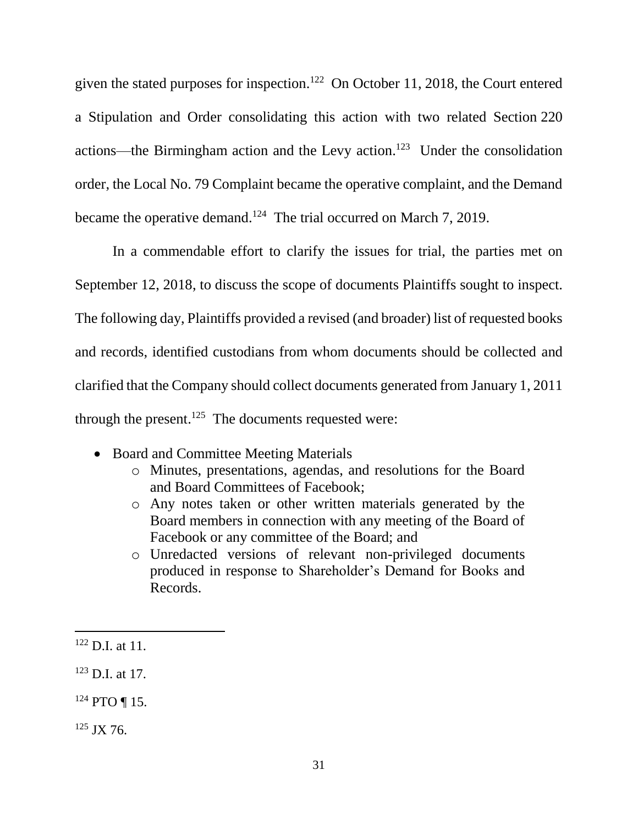given the stated purposes for inspection.<sup>122</sup> On October 11, 2018, the Court entered a Stipulation and Order consolidating this action with two related Section 220 actions—the Birmingham action and the Levy action.<sup>123</sup> Under the consolidation order, the Local No. 79 Complaint became the operative complaint, and the Demand became the operative demand.<sup>124</sup> The trial occurred on March 7, 2019.

In a commendable effort to clarify the issues for trial, the parties met on September 12, 2018, to discuss the scope of documents Plaintiffs sought to inspect. The following day, Plaintiffs provided a revised (and broader) list of requested books and records, identified custodians from whom documents should be collected and clarified that the Company should collect documents generated from January 1, 2011 through the present.<sup>125</sup> The documents requested were:

- Board and Committee Meeting Materials
	- o Minutes, presentations, agendas, and resolutions for the Board and Board Committees of Facebook;
	- o Any notes taken or other written materials generated by the Board members in connection with any meeting of the Board of Facebook or any committee of the Board; and
	- o Unredacted versions of relevant non-privileged documents produced in response to Shareholder's Demand for Books and Records.

 $122$  D.I. at 11.

 $123$  D.I. at 17.

<sup>124</sup> PTO ¶ 15.

 $125$  JX 76.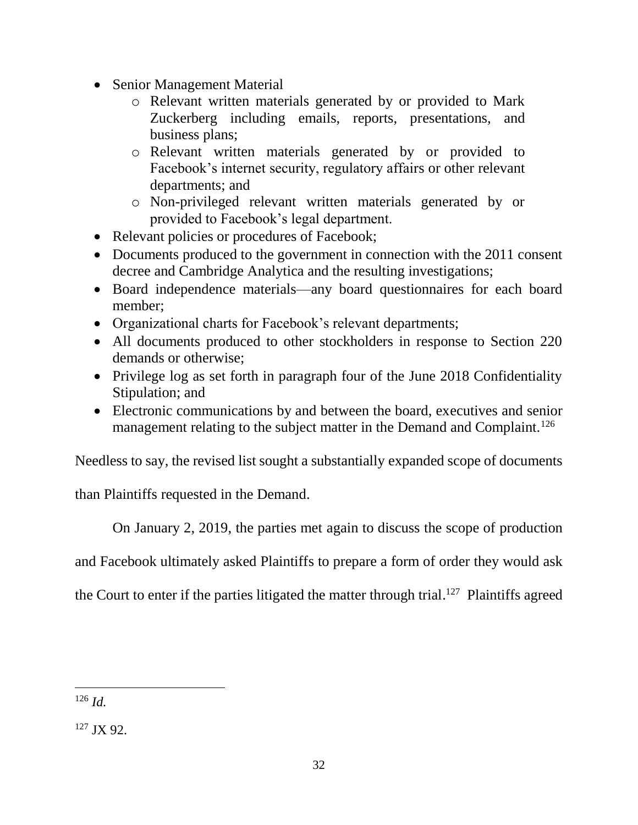- Senior Management Material
	- o Relevant written materials generated by or provided to Mark Zuckerberg including emails, reports, presentations, and business plans;
	- o Relevant written materials generated by or provided to Facebook's internet security, regulatory affairs or other relevant departments; and
	- o Non-privileged relevant written materials generated by or provided to Facebook's legal department.
- Relevant policies or procedures of Facebook;
- Documents produced to the government in connection with the 2011 consent decree and Cambridge Analytica and the resulting investigations;
- Board independence materials—any board questionnaires for each board member;
- Organizational charts for Facebook's relevant departments;
- All documents produced to other stockholders in response to Section 220 demands or otherwise;
- Privilege log as set forth in paragraph four of the June 2018 Confidentiality Stipulation; and
- Electronic communications by and between the board, executives and senior management relating to the subject matter in the Demand and Complaint.<sup>126</sup>

Needless to say, the revised list sought a substantially expanded scope of documents

than Plaintiffs requested in the Demand.

On January 2, 2019, the parties met again to discuss the scope of production

and Facebook ultimately asked Plaintiffs to prepare a form of order they would ask

the Court to enter if the parties litigated the matter through trial.<sup>127</sup> Plaintiffs agreed

 <sup>126</sup> *Id.*

<sup>127</sup> JX 92.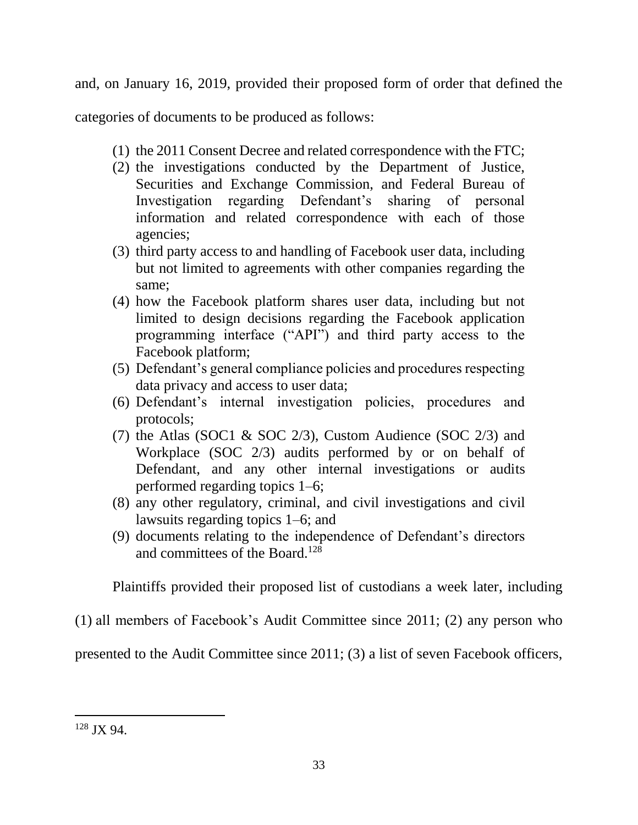and, on January 16, 2019, provided their proposed form of order that defined the

categories of documents to be produced as follows:

- (1) the 2011 Consent Decree and related correspondence with the FTC;
- (2) the investigations conducted by the Department of Justice, Securities and Exchange Commission, and Federal Bureau of Investigation regarding Defendant's sharing of personal information and related correspondence with each of those agencies;
- (3) third party access to and handling of Facebook user data, including but not limited to agreements with other companies regarding the same;
- (4) how the Facebook platform shares user data, including but not limited to design decisions regarding the Facebook application programming interface ("API") and third party access to the Facebook platform;
- (5) Defendant's general compliance policies and procedures respecting data privacy and access to user data;
- (6) Defendant's internal investigation policies, procedures and protocols;
- (7) the Atlas (SOC1 & SOC 2/3), Custom Audience (SOC 2/3) and Workplace (SOC 2/3) audits performed by or on behalf of Defendant, and any other internal investigations or audits performed regarding topics 1–6;
- (8) any other regulatory, criminal, and civil investigations and civil lawsuits regarding topics 1–6; and
- (9) documents relating to the independence of Defendant's directors and committees of the Board.<sup>128</sup>

Plaintiffs provided their proposed list of custodians a week later, including

(1) all members of Facebook's Audit Committee since 2011; (2) any person who

presented to the Audit Committee since 2011; (3) a list of seven Facebook officers,

<sup>128</sup> JX 94.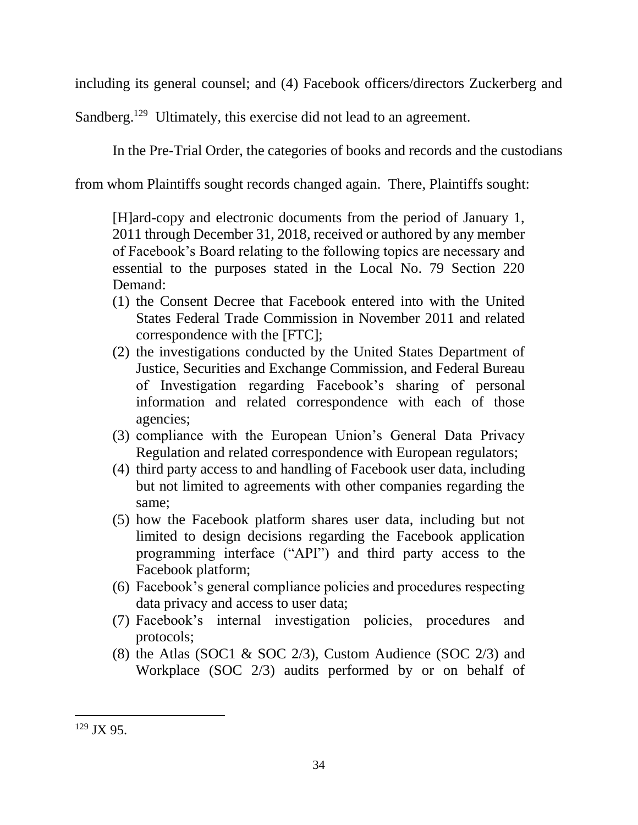including its general counsel; and (4) Facebook officers/directors Zuckerberg and

Sandberg.<sup>129</sup> Ultimately, this exercise did not lead to an agreement.

In the Pre-Trial Order, the categories of books and records and the custodians

from whom Plaintiffs sought records changed again. There, Plaintiffs sought:

[H]ard-copy and electronic documents from the period of January 1, 2011 through December 31, 2018, received or authored by any member of Facebook's Board relating to the following topics are necessary and essential to the purposes stated in the Local No. 79 Section 220 Demand:

- (1) the Consent Decree that Facebook entered into with the United States Federal Trade Commission in November 2011 and related correspondence with the [FTC];
- (2) the investigations conducted by the United States Department of Justice, Securities and Exchange Commission, and Federal Bureau of Investigation regarding Facebook's sharing of personal information and related correspondence with each of those agencies;
- (3) compliance with the European Union's General Data Privacy Regulation and related correspondence with European regulators;
- (4) third party access to and handling of Facebook user data, including but not limited to agreements with other companies regarding the same;
- (5) how the Facebook platform shares user data, including but not limited to design decisions regarding the Facebook application programming interface ("API") and third party access to the Facebook platform;
- (6) Facebook's general compliance policies and procedures respecting data privacy and access to user data;
- (7) Facebook's internal investigation policies, procedures and protocols;
- (8) the Atlas (SOC1 & SOC 2/3), Custom Audience (SOC 2/3) and Workplace (SOC 2/3) audits performed by or on behalf of

<sup>129</sup> JX 95.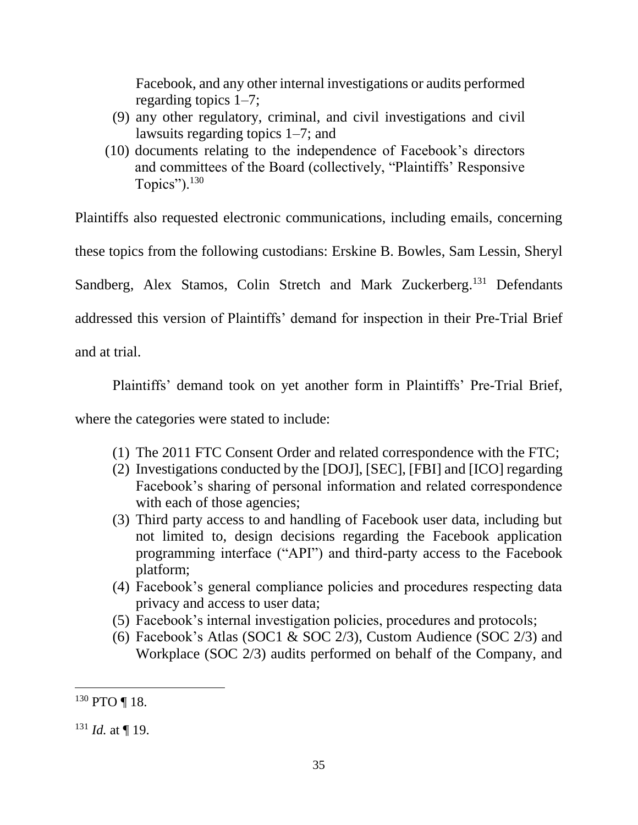Facebook, and any other internal investigations or audits performed regarding topics 1–7;

- (9) any other regulatory, criminal, and civil investigations and civil lawsuits regarding topics 1–7; and
- (10) documents relating to the independence of Facebook's directors and committees of the Board (collectively, "Plaintiffs' Responsive Topics"). $130$

Plaintiffs also requested electronic communications, including emails, concerning these topics from the following custodians: Erskine B. Bowles, Sam Lessin, Sheryl Sandberg, Alex Stamos, Colin Stretch and Mark Zuckerberg.<sup>131</sup> Defendants addressed this version of Plaintiffs' demand for inspection in their Pre-Trial Brief and at trial.

Plaintiffs' demand took on yet another form in Plaintiffs' Pre-Trial Brief,

where the categories were stated to include:

- (1) The 2011 FTC Consent Order and related correspondence with the FTC;
- (2) Investigations conducted by the [DOJ], [SEC], [FBI] and [ICO] regarding Facebook's sharing of personal information and related correspondence with each of those agencies;
- (3) Third party access to and handling of Facebook user data, including but not limited to, design decisions regarding the Facebook application programming interface ("API") and third-party access to the Facebook platform;
- (4) Facebook's general compliance policies and procedures respecting data privacy and access to user data;
- (5) Facebook's internal investigation policies, procedures and protocols;
- (6) Facebook's Atlas (SOC1  $&$  SOC 2/3), Custom Audience (SOC 2/3) and Workplace (SOC 2/3) audits performed on behalf of the Company, and

<sup>130</sup> PTO ¶ 18.

 $131$  *Id.* at ¶ 19.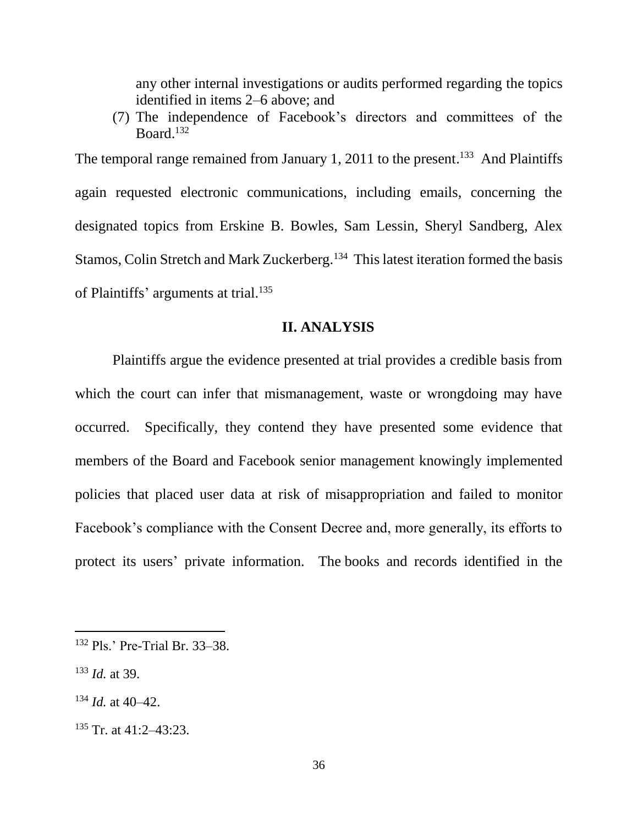any other internal investigations or audits performed regarding the topics identified in items 2–6 above; and

(7) The independence of Facebook's directors and committees of the Board. 132

The temporal range remained from January 1, 2011 to the present.<sup>133</sup> And Plaintiffs again requested electronic communications, including emails, concerning the designated topics from Erskine B. Bowles, Sam Lessin, Sheryl Sandberg, Alex Stamos, Colin Stretch and Mark Zuckerberg.<sup>134</sup> This latest iteration formed the basis of Plaintiffs' arguments at trial.<sup>135</sup>

### **II. ANALYSIS**

Plaintiffs argue the evidence presented at trial provides a credible basis from which the court can infer that mismanagement, waste or wrongdoing may have occurred. Specifically, they contend they have presented some evidence that members of the Board and Facebook senior management knowingly implemented policies that placed user data at risk of misappropriation and failed to monitor Facebook's compliance with the Consent Decree and, more generally, its efforts to protect its users' private information. The books and records identified in the

<sup>133</sup> *Id.* at 39.

- $134$  *Id.* at 40–42.
- $135$  Tr. at 41:2-43:23.

<sup>132</sup> Pls.' Pre-Trial Br. 33–38.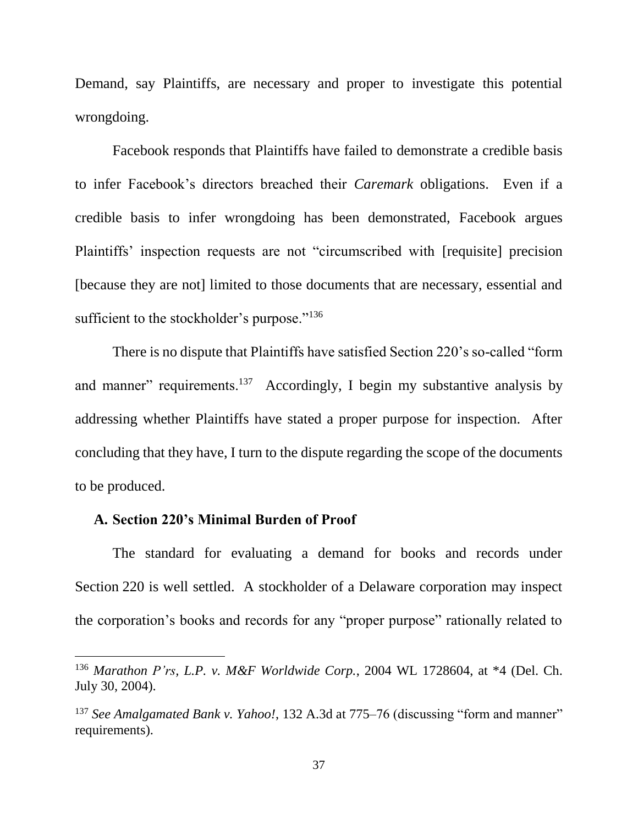Demand, say Plaintiffs, are necessary and proper to investigate this potential wrongdoing.

Facebook responds that Plaintiffs have failed to demonstrate a credible basis to infer Facebook's directors breached their *Caremark* obligations. Even if a credible basis to infer wrongdoing has been demonstrated, Facebook argues Plaintiffs' inspection requests are not "circumscribed with [requisite] precision [because they are not] limited to those documents that are necessary, essential and sufficient to the stockholder's purpose."<sup>136</sup>

There is no dispute that Plaintiffs have satisfied Section 220's so-called "form and manner" requirements.<sup>137</sup> Accordingly, I begin my substantive analysis by addressing whether Plaintiffs have stated a proper purpose for inspection. After concluding that they have, I turn to the dispute regarding the scope of the documents to be produced.

#### **A. Section 220's Minimal Burden of Proof**

The standard for evaluating a demand for books and records under Section 220 is well settled. A stockholder of a Delaware corporation may inspect the corporation's books and records for any "proper purpose" rationally related to

<sup>136</sup> *Marathon P'rs, L.P. v. M&F Worldwide Corp.*, 2004 WL 1728604, at \*4 (Del. Ch. July 30, 2004).

<sup>137</sup> *See Amalgamated Bank v. Yahoo!*, 132 A.3d at 775–76 (discussing "form and manner" requirements).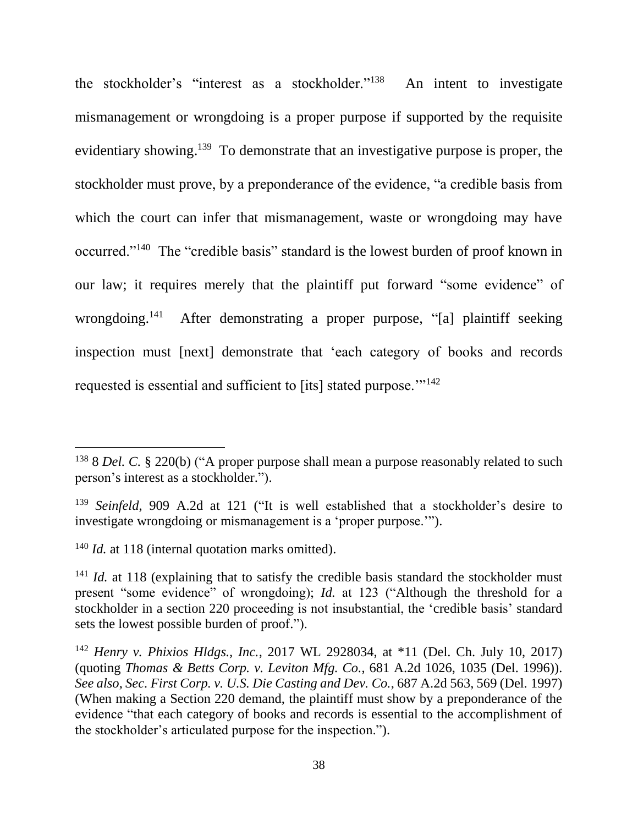the stockholder's "interest as a stockholder."<sup>138</sup> An intent to investigate mismanagement or wrongdoing is a proper purpose if supported by the requisite evidentiary showing.<sup>139</sup> To demonstrate that an investigative purpose is proper, the stockholder must prove, by a preponderance of the evidence, "a credible basis from which the court can infer that mismanagement, waste or wrongdoing may have occurred."<sup>140</sup> The "credible basis" standard is the lowest burden of proof known in our law; it requires merely that the plaintiff put forward "some evidence" of wrongdoing.<sup>141</sup> After demonstrating a proper purpose, "[a] plaintiff seeking inspection must [next] demonstrate that 'each category of books and records requested is essential and sufficient to [its] stated purpose. $\frac{1}{142}$ 

<sup>140</sup> *Id.* at 118 (internal quotation marks omitted).

<sup>138</sup> 8 *Del. C.* § 220(b) ("A proper purpose shall mean a purpose reasonably related to such person's interest as a stockholder.").

<sup>&</sup>lt;sup>139</sup> *Seinfeld*, 909 A.2d at 121 ("It is well established that a stockholder's desire to investigate wrongdoing or mismanagement is a 'proper purpose.'").

<sup>&</sup>lt;sup>141</sup> *Id.* at 118 (explaining that to satisfy the credible basis standard the stockholder must present "some evidence" of wrongdoing); *Id.* at 123 ("Although the threshold for a stockholder in a section 220 proceeding is not insubstantial, the 'credible basis' standard sets the lowest possible burden of proof.").

<sup>142</sup> *Henry v. Phixios Hldgs., Inc.*, 2017 WL 2928034, at \*11 (Del. Ch. July 10, 2017) (quoting *Thomas & Betts Corp. v. Leviton Mfg. Co.*, 681 A.2d 1026, 1035 (Del. 1996)). *See also*, *Sec. First Corp. v. U.S. Die Casting and Dev. Co.*, 687 A.2d 563, 569 (Del. 1997) (When making a Section 220 demand, the plaintiff must show by a preponderance of the evidence "that each category of books and records is essential to the accomplishment of the stockholder's articulated purpose for the inspection.").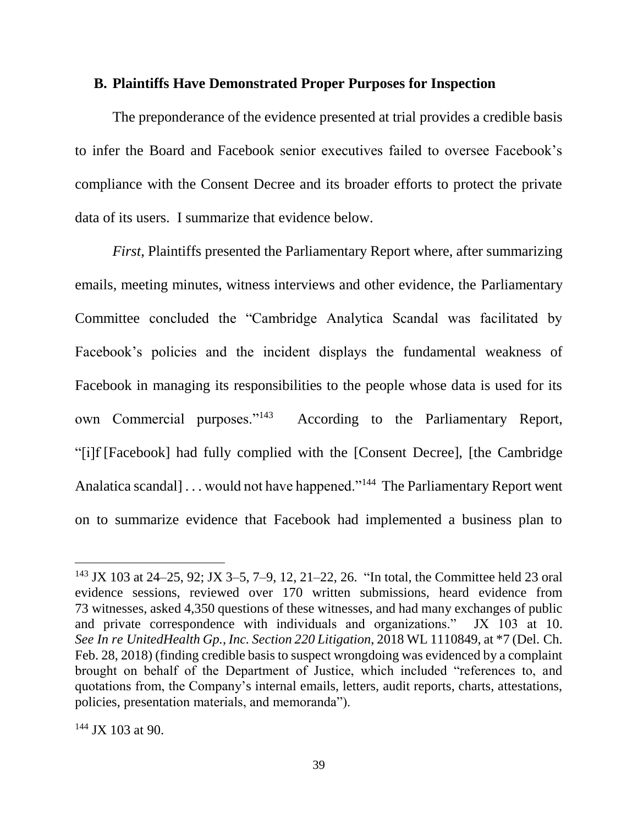#### **B. Plaintiffs Have Demonstrated Proper Purposes for Inspection**

The preponderance of the evidence presented at trial provides a credible basis to infer the Board and Facebook senior executives failed to oversee Facebook's compliance with the Consent Decree and its broader efforts to protect the private data of its users. I summarize that evidence below.

*First*, Plaintiffs presented the Parliamentary Report where, after summarizing emails, meeting minutes, witness interviews and other evidence, the Parliamentary Committee concluded the "Cambridge Analytica Scandal was facilitated by Facebook's policies and the incident displays the fundamental weakness of Facebook in managing its responsibilities to the people whose data is used for its own Commercial purposes."<sup>143</sup> According to the Parliamentary Report, "[i]f [Facebook] had fully complied with the [Consent Decree], [the Cambridge Analatica scandal]... would not have happened."<sup>144</sup> The Parliamentary Report went on to summarize evidence that Facebook had implemented a business plan to

<sup>143</sup> JX 103 at 24–25, 92; JX 3–5, 7–9, 12, 21–22, 26. "In total, the Committee held 23 oral evidence sessions, reviewed over 170 written submissions, heard evidence from 73 witnesses, asked 4,350 questions of these witnesses, and had many exchanges of public and private correspondence with individuals and organizations." JX 103 at 10. *See In re UnitedHealth Gp., Inc. Section 220 Litigation*, 2018 WL 1110849, at \*7 (Del. Ch. Feb. 28, 2018) (finding credible basis to suspect wrongdoing was evidenced by a complaint brought on behalf of the Department of Justice, which included "references to, and quotations from, the Company's internal emails, letters, audit reports, charts, attestations, policies, presentation materials, and memoranda").

 $144$  JX 103 at 90.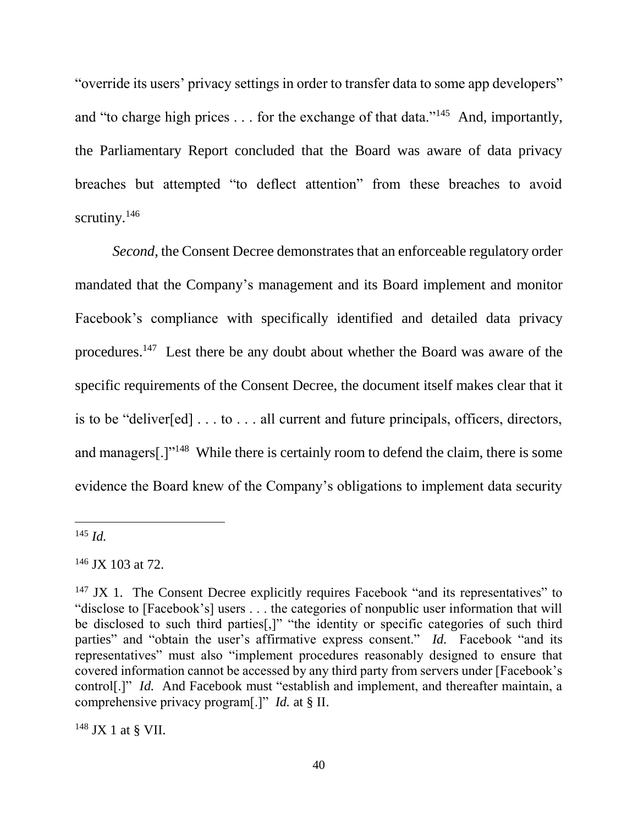"override its users' privacy settings in order to transfer data to some app developers" and "to charge high prices  $\dots$  for the exchange of that data."<sup>145</sup> And, importantly, the Parliamentary Report concluded that the Board was aware of data privacy breaches but attempted "to deflect attention" from these breaches to avoid scrutiny.<sup>146</sup>

*Second*, the Consent Decree demonstrates that an enforceable regulatory order mandated that the Company's management and its Board implement and monitor Facebook's compliance with specifically identified and detailed data privacy procedures.<sup>147</sup> Lest there be any doubt about whether the Board was aware of the specific requirements of the Consent Decree, the document itself makes clear that it is to be "deliver[ed] . . . to . . . all current and future principals, officers, directors, and managers[.]"<sup>148</sup> While there is certainly room to defend the claim, there is some evidence the Board knew of the Company's obligations to implement data security

 $148$  JX 1 at § VII.

<sup>145</sup> *Id.*

 $146$  JX 103 at 72.

 $147$  JX 1. The Consent Decree explicitly requires Facebook "and its representatives" to "disclose to [Facebook's] users . . . the categories of nonpublic user information that will be disclosed to such third parties[,]" "the identity or specific categories of such third parties" and "obtain the user's affirmative express consent." *Id.* Facebook "and its representatives" must also "implement procedures reasonably designed to ensure that covered information cannot be accessed by any third party from servers under [Facebook's control<sup>[1]"</sup> *Id.* And Facebook must "establish and implement, and thereafter maintain, a comprehensive privacy program[.]" *Id.* at § II.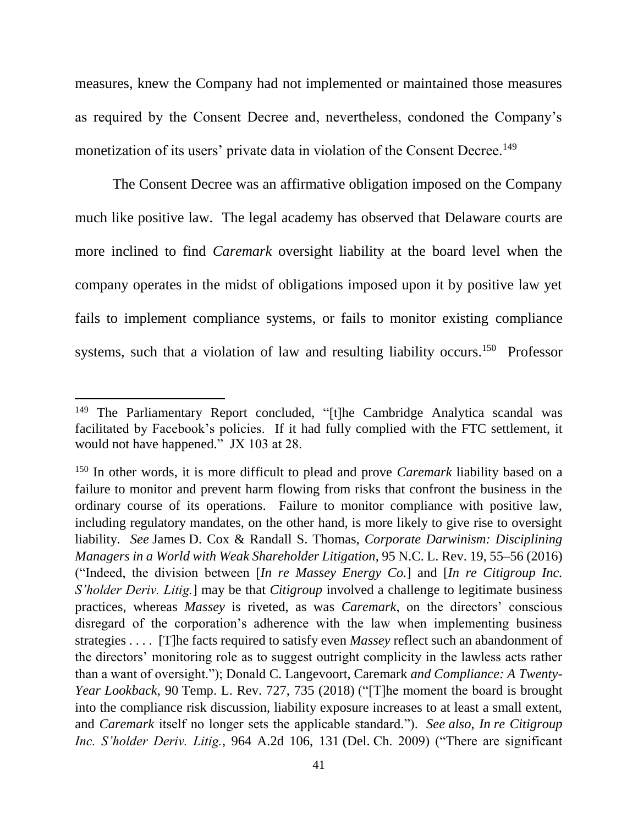measures, knew the Company had not implemented or maintained those measures as required by the Consent Decree and, nevertheless, condoned the Company's monetization of its users' private data in violation of the Consent Decree.<sup>149</sup>

The Consent Decree was an affirmative obligation imposed on the Company much like positive law. The legal academy has observed that Delaware courts are more inclined to find *Caremark* oversight liability at the board level when the company operates in the midst of obligations imposed upon it by positive law yet fails to implement compliance systems, or fails to monitor existing compliance systems, such that a violation of law and resulting liability occurs.<sup>150</sup> Professor

<sup>&</sup>lt;sup>149</sup> The Parliamentary Report concluded, "[t]he Cambridge Analytica scandal was facilitated by Facebook's policies. If it had fully complied with the FTC settlement, it would not have happened." JX 103 at 28.

<sup>150</sup> In other words, it is more difficult to plead and prove *Caremark* liability based on a failure to monitor and prevent harm flowing from risks that confront the business in the ordinary course of its operations. Failure to monitor compliance with positive law, including regulatory mandates, on the other hand, is more likely to give rise to oversight liability. *See* James D. Cox & Randall S. Thomas, *Corporate Darwinism: Disciplining Managers in a World with Weak Shareholder Litigation*, 95 N.C. L. Rev. 19, 55–56 (2016) ("Indeed, the division between [*In re Massey Energy Co.*] and [*In re Citigroup Inc. S'holder Deriv. Litig.*] may be that *Citigroup* involved a challenge to legitimate business practices, whereas *Massey* is riveted, as was *Caremark*, on the directors' conscious disregard of the corporation's adherence with the law when implementing business strategies . . . . [T]he facts required to satisfy even *Massey* reflect such an abandonment of the directors' monitoring role as to suggest outright complicity in the lawless acts rather than a want of oversight."); Donald C. Langevoort, Caremark *and Compliance: A Twenty-Year Lookback*, 90 Temp. L. Rev. 727, 735 (2018) ("[T]he moment the board is brought into the compliance risk discussion, liability exposure increases to at least a small extent, and *Caremark* itself no longer sets the applicable standard."). *See also*, *In re Citigroup Inc. S'holder Deriv. Litig.*, 964 A.2d 106, 131 (Del. Ch. 2009) ("There are significant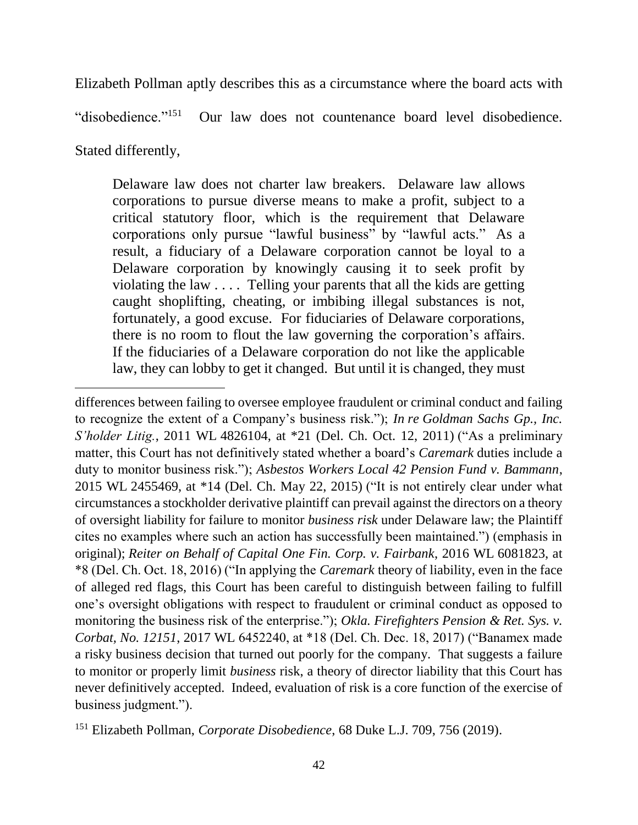Elizabeth Pollman aptly describes this as a circumstance where the board acts with

"disobedience."<sup>151</sup> Our law does not countenance board level disobedience.

Stated differently,

Delaware law does not charter law breakers. Delaware law allows corporations to pursue diverse means to make a profit, subject to a critical statutory floor, which is the requirement that Delaware corporations only pursue "lawful business" by "lawful acts." As a result, a fiduciary of a Delaware corporation cannot be loyal to a Delaware corporation by knowingly causing it to seek profit by violating the law . . . . Telling your parents that all the kids are getting caught shoplifting, cheating, or imbibing illegal substances is not, fortunately, a good excuse. For fiduciaries of Delaware corporations, there is no room to flout the law governing the corporation's affairs. If the fiduciaries of a Delaware corporation do not like the applicable law, they can lobby to get it changed. But until it is changed, they must

differences between failing to oversee employee fraudulent or criminal conduct and failing to recognize the extent of a Company's business risk."); *In re Goldman Sachs Gp., Inc. S'holder Litig.*, 2011 WL 4826104, at \*21 (Del. Ch. Oct. 12, 2011) ("As a preliminary matter, this Court has not definitively stated whether a board's *Caremark* duties include a duty to monitor business risk."); *Asbestos Workers Local 42 Pension Fund v. Bammann*, 2015 WL 2455469, at \*14 (Del. Ch. May 22, 2015) ("It is not entirely clear under what circumstances a stockholder derivative plaintiff can prevail against the directors on a theory of oversight liability for failure to monitor *business risk* under Delaware law; the Plaintiff cites no examples where such an action has successfully been maintained.") (emphasis in original); *Reiter on Behalf of Capital One Fin. Corp. v. Fairbank*, 2016 WL 6081823, at \*8 (Del. Ch. Oct. 18, 2016) ("In applying the *Caremark* theory of liability, even in the face of alleged red flags, this Court has been careful to distinguish between failing to fulfill one's oversight obligations with respect to fraudulent or criminal conduct as opposed to monitoring the business risk of the enterprise."); *Okla. Firefighters Pension & Ret. Sys. v. Corbat, No. 12151*, 2017 WL 6452240, at \*18 (Del. Ch. Dec. 18, 2017) ("Banamex made a risky business decision that turned out poorly for the company. That suggests a failure to monitor or properly limit *business* risk, a theory of director liability that this Court has never definitively accepted. Indeed, evaluation of risk is a core function of the exercise of business judgment.").

<sup>151</sup> Elizabeth Pollman, *Corporate Disobedience*, 68 Duke L.J. 709, 756 (2019).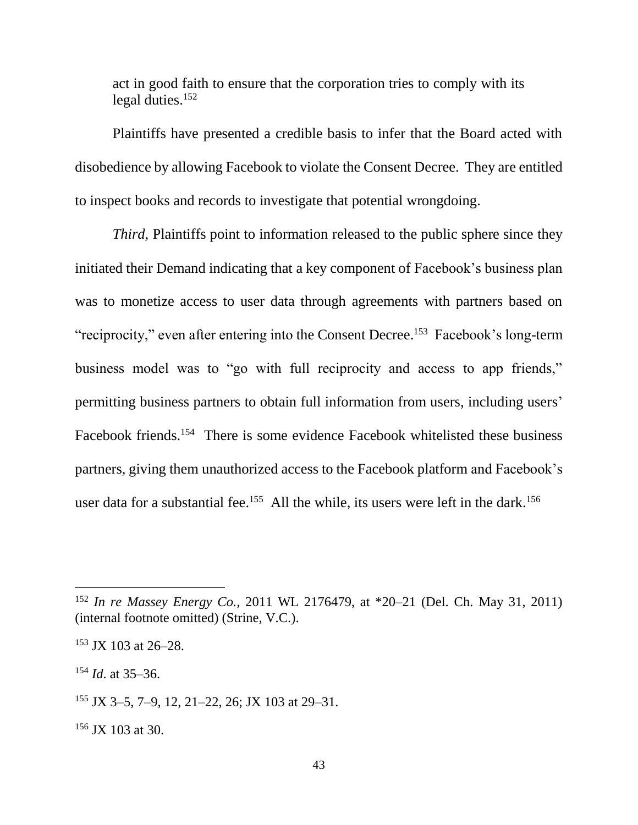act in good faith to ensure that the corporation tries to comply with its legal duties. $152$ 

Plaintiffs have presented a credible basis to infer that the Board acted with disobedience by allowing Facebook to violate the Consent Decree. They are entitled to inspect books and records to investigate that potential wrongdoing.

*Third*, Plaintiffs point to information released to the public sphere since they initiated their Demand indicating that a key component of Facebook's business plan was to monetize access to user data through agreements with partners based on "reciprocity," even after entering into the Consent Decree.<sup>153</sup> Facebook's long-term business model was to "go with full reciprocity and access to app friends," permitting business partners to obtain full information from users, including users' Facebook friends.<sup>154</sup> There is some evidence Facebook whitelisted these business partners, giving them unauthorized access to the Facebook platform and Facebook's user data for a substantial fee.<sup>155</sup> All the while, its users were left in the dark.<sup>156</sup>

<sup>154</sup> *Id*. at 35–36.

<sup>152</sup> *In re Massey Energy Co.,* 2011 WL 2176479, at \*20–21 (Del. Ch. May 31, 2011) (internal footnote omitted) (Strine, V.C.).

 $153$  JX 103 at 26–28.

<sup>155</sup> JX 3–5, 7–9, 12, 21–22, 26; JX 103 at 29–31.

<sup>&</sup>lt;sup>156</sup> JX 103 at 30.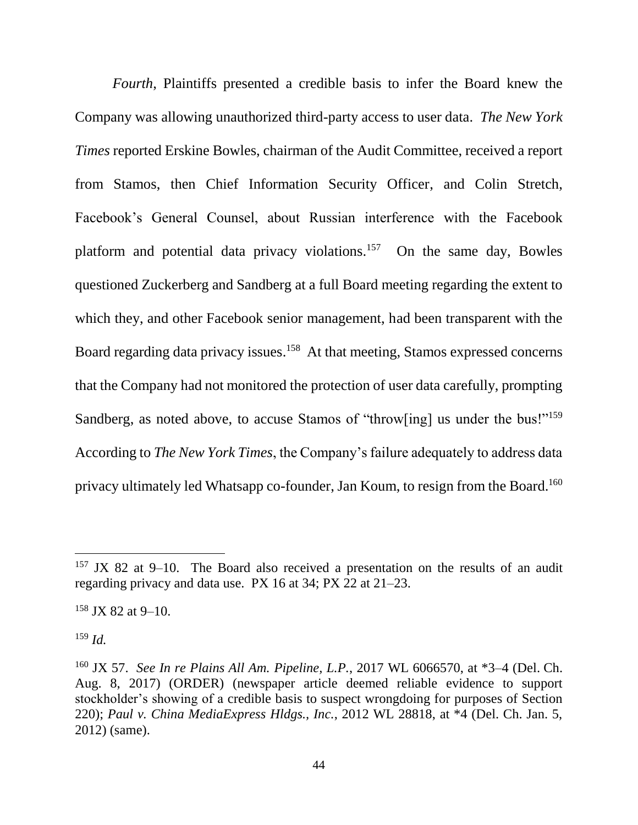*Fourth*, Plaintiffs presented a credible basis to infer the Board knew the Company was allowing unauthorized third-party access to user data. *The New York Times* reported Erskine Bowles, chairman of the Audit Committee, received a report from Stamos, then Chief Information Security Officer, and Colin Stretch, Facebook's General Counsel, about Russian interference with the Facebook platform and potential data privacy violations.<sup>157</sup> On the same day, Bowles questioned Zuckerberg and Sandberg at a full Board meeting regarding the extent to which they, and other Facebook senior management, had been transparent with the Board regarding data privacy issues.<sup>158</sup> At that meeting, Stamos expressed concerns that the Company had not monitored the protection of user data carefully, prompting Sandberg, as noted above, to accuse Stamos of "throw[ing] us under the bus!"<sup>159</sup> According to *The New York Times*, the Company's failure adequately to address data privacy ultimately led Whatsapp co-founder, Jan Koum, to resign from the Board.<sup>160</sup>

<sup>159</sup> *Id.*

 $157$  JX 82 at 9–10. The Board also received a presentation on the results of an audit regarding privacy and data use. PX 16 at 34; PX 22 at 21–23.

 $158$  JX 82 at 9–10.

<sup>160</sup> JX 57. *See In re Plains All Am. Pipeline, L.P.*, 2017 WL 6066570, at \*3–4 (Del. Ch. Aug. 8, 2017) (ORDER) (newspaper article deemed reliable evidence to support stockholder's showing of a credible basis to suspect wrongdoing for purposes of Section 220); *Paul v. China MediaExpress Hldgs., Inc.*, 2012 WL 28818, at \*4 (Del. Ch. Jan. 5, 2012) (same).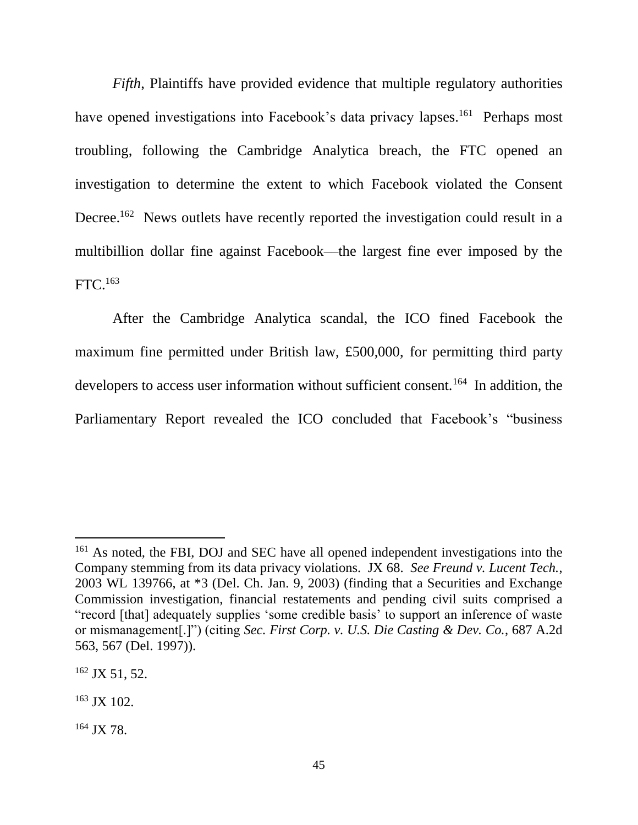*Fifth*, Plaintiffs have provided evidence that multiple regulatory authorities have opened investigations into Facebook's data privacy lapses.<sup>161</sup> Perhaps most troubling, following the Cambridge Analytica breach, the FTC opened an investigation to determine the extent to which Facebook violated the Consent Decree.<sup>162</sup> News outlets have recently reported the investigation could result in a multibillion dollar fine against Facebook––the largest fine ever imposed by the FTC.<sup>163</sup>

After the Cambridge Analytica scandal, the ICO fined Facebook the maximum fine permitted under British law, £500,000, for permitting third party developers to access user information without sufficient consent.<sup>164</sup> In addition, the Parliamentary Report revealed the ICO concluded that Facebook's "business

 $\overline{a}$ 

<sup>164</sup> JX 78.

<sup>&</sup>lt;sup>161</sup> As noted, the FBI, DOJ and SEC have all opened independent investigations into the Company stemming from its data privacy violations. JX 68. *See Freund v. Lucent Tech.*, 2003 WL 139766, at \*3 (Del. Ch. Jan. 9, 2003) (finding that a Securities and Exchange Commission investigation, financial restatements and pending civil suits comprised a "record [that] adequately supplies 'some credible basis' to support an inference of waste or mismanagement[.]") (citing *Sec. First Corp. v. U.S. Die Casting & Dev. Co.*, 687 A.2d 563, 567 (Del. 1997)).

 $162$  JX 51, 52.

<sup>163</sup> JX 102.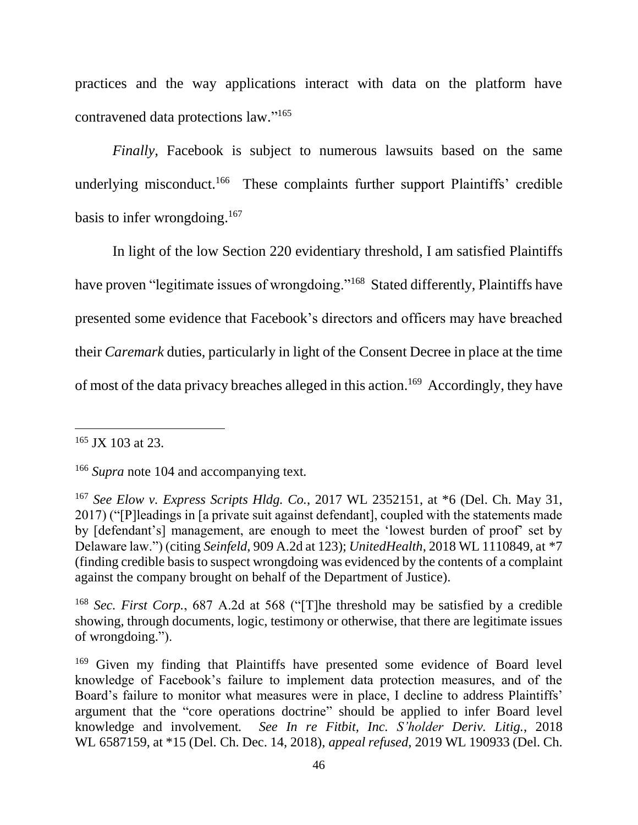practices and the way applications interact with data on the platform have contravened data protections law." 165

*Finally,* Facebook is subject to numerous lawsuits based on the same underlying misconduct.<sup>166</sup> These complaints further support Plaintiffs' credible basis to infer wrongdoing. 167

In light of the low Section 220 evidentiary threshold, I am satisfied Plaintiffs have proven "legitimate issues of wrongdoing."<sup>168</sup> Stated differently, Plaintiffs have presented some evidence that Facebook's directors and officers may have breached their *Caremark* duties, particularly in light of the Consent Decree in place at the time of most of the data privacy breaches alleged in this action.<sup>169</sup> Accordingly, they have

<sup>165</sup> JX 103 at 23.

<sup>166</sup> *Supra* note 104 and accompanying text*.*

<sup>167</sup> *See Elow v. Express Scripts Hldg. Co.*, 2017 WL 2352151, at \*6 (Del. Ch. May 31, 2017) ("[P]leadings in [a private suit against defendant], coupled with the statements made by [defendant's] management, are enough to meet the 'lowest burden of proof' set by Delaware law.") (citing *Seinfeld*, 909 A.2d at 123); *UnitedHealth*, 2018 WL 1110849, at \*7 (finding credible basis to suspect wrongdoing was evidenced by the contents of a complaint against the company brought on behalf of the Department of Justice).

<sup>168</sup> *Sec. First Corp.*, 687 A.2d at 568 ("[T]he threshold may be satisfied by a credible showing, through documents, logic, testimony or otherwise, that there are legitimate issues of wrongdoing.").

<sup>&</sup>lt;sup>169</sup> Given my finding that Plaintiffs have presented some evidence of Board level knowledge of Facebook's failure to implement data protection measures, and of the Board's failure to monitor what measures were in place, I decline to address Plaintiffs' argument that the "core operations doctrine" should be applied to infer Board level knowledge and involvement*. See In re Fitbit, Inc. S'holder Deriv. Litig.*, 2018 WL 6587159, at \*15 (Del. Ch. Dec. 14, 2018), *appeal refused*, 2019 WL 190933 (Del. Ch.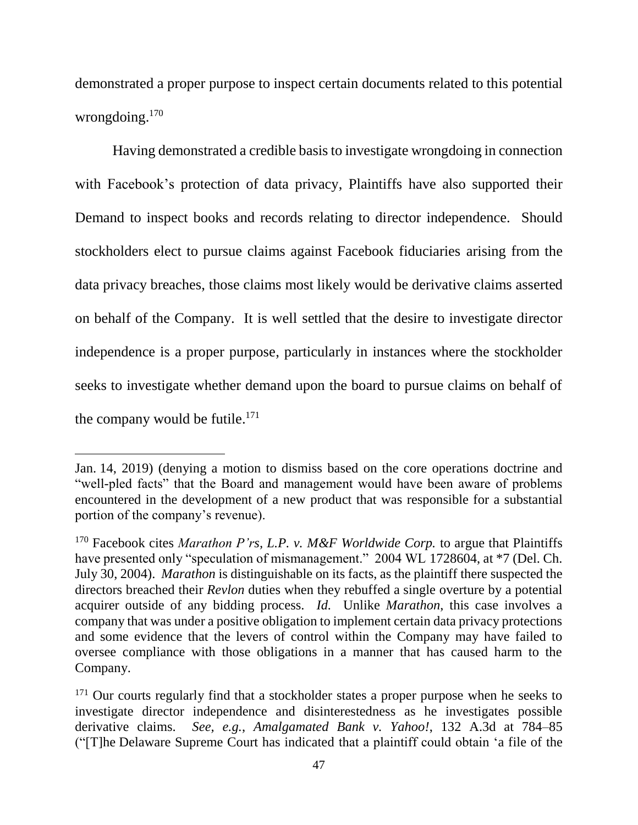demonstrated a proper purpose to inspect certain documents related to this potential wrongdoing. 170

Having demonstrated a credible basis to investigate wrongdoing in connection with Facebook's protection of data privacy, Plaintiffs have also supported their Demand to inspect books and records relating to director independence. Should stockholders elect to pursue claims against Facebook fiduciaries arising from the data privacy breaches, those claims most likely would be derivative claims asserted on behalf of the Company. It is well settled that the desire to investigate director independence is a proper purpose, particularly in instances where the stockholder seeks to investigate whether demand upon the board to pursue claims on behalf of the company would be futile. $171$ 

Jan. 14, 2019) (denying a motion to dismiss based on the core operations doctrine and "well-pled facts" that the Board and management would have been aware of problems encountered in the development of a new product that was responsible for a substantial portion of the company's revenue).

<sup>170</sup> Facebook cites *Marathon P'rs, L.P. v. M&F Worldwide Corp.* to argue that Plaintiffs have presented only "speculation of mismanagement." 2004 WL 1728604, at \*7 (Del. Ch. July 30, 2004). *Marathon* is distinguishable on its facts, as the plaintiff there suspected the directors breached their *Revlon* duties when they rebuffed a single overture by a potential acquirer outside of any bidding process. *Id.* Unlike *Marathon*, this case involves a company that was under a positive obligation to implement certain data privacy protections and some evidence that the levers of control within the Company may have failed to oversee compliance with those obligations in a manner that has caused harm to the Company.

<sup>&</sup>lt;sup>171</sup> Our courts regularly find that a stockholder states a proper purpose when he seeks to investigate director independence and disinterestedness as he investigates possible derivative claims. *See, e.g.*, *Amalgamated Bank v. Yahoo!*, 132 A.3d at 784–85 ("[T]he Delaware Supreme Court has indicated that a plaintiff could obtain 'a file of the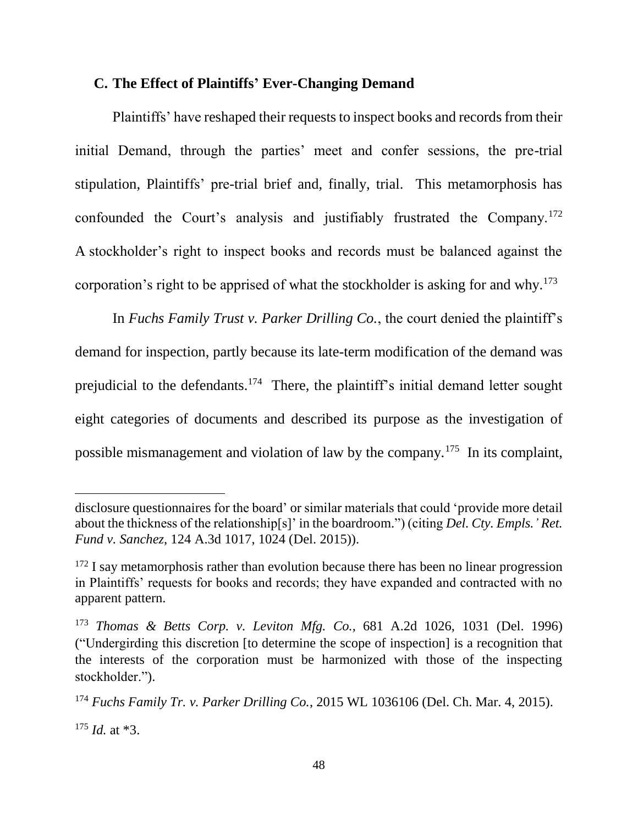#### **C. The Effect of Plaintiffs' Ever-Changing Demand**

Plaintiffs' have reshaped their requests to inspect books and records from their initial Demand, through the parties' meet and confer sessions, the pre-trial stipulation, Plaintiffs' pre-trial brief and, finally, trial. This metamorphosis has confounded the Court's analysis and justifiably frustrated the Company.<sup>172</sup> A stockholder's right to inspect books and records must be balanced against the corporation's right to be apprised of what the stockholder is asking for and why.<sup>173</sup>

In *Fuchs Family Trust v. Parker Drilling Co.*, the court denied the plaintiff's demand for inspection, partly because its late-term modification of the demand was prejudicial to the defendants.<sup>174</sup> There, the plaintiff's initial demand letter sought eight categories of documents and described its purpose as the investigation of possible mismanagement and violation of law by the company.<sup>175</sup> In its complaint,

<sup>175</sup> *Id.* at \*3.

disclosure questionnaires for the board' or similar materials that could 'provide more detail about the thickness of the relationship[s]' in the boardroom.") (citing *Del. Cty. Empls.' Ret. Fund v. Sanchez*, 124 A.3d 1017, 1024 (Del. 2015)).

<sup>&</sup>lt;sup>172</sup> I say metamorphosis rather than evolution because there has been no linear progression in Plaintiffs' requests for books and records; they have expanded and contracted with no apparent pattern.

<sup>173</sup> *Thomas & Betts Corp. v. Leviton Mfg. Co.*, 681 A.2d 1026, 1031 (Del. 1996) ("Undergirding this discretion [to determine the scope of inspection] is a recognition that the interests of the corporation must be harmonized with those of the inspecting stockholder.").

<sup>174</sup> *Fuchs Family Tr. v. Parker Drilling Co.*, 2015 WL 1036106 (Del. Ch. Mar. 4, 2015).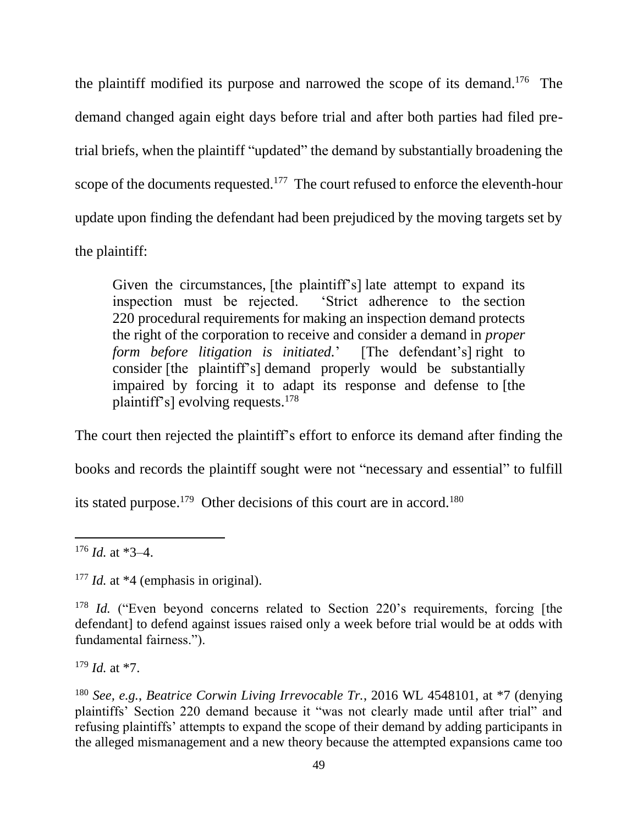the plaintiff modified its purpose and narrowed the scope of its demand. 176 The demand changed again eight days before trial and after both parties had filed pretrial briefs, when the plaintiff "updated" the demand by substantially broadening the scope of the documents requested.<sup>177</sup> The court refused to enforce the eleventh-hour update upon finding the defendant had been prejudiced by the moving targets set by the plaintiff:

Given the circumstances, [the plaintiff's] late attempt to expand its inspection must be rejected. 'Strict adherence to the section 220 procedural requirements for making an inspection demand protects the right of the corporation to receive and consider a demand in *proper form before litigation is initiated.*' [The defendant's] right to consider [the plaintiff's] demand properly would be substantially impaired by forcing it to adapt its response and defense to [the plaintiff's] evolving requests.<sup>178</sup>

The court then rejected the plaintiff's effort to enforce its demand after finding the books and records the plaintiff sought were not "necessary and essential" to fulfill its stated purpose.<sup>179</sup> Other decisions of this court are in accord.<sup>180</sup>

 $\overline{a}$ 

<sup>179</sup> *Id.* at \*7.

 $176$  *Id.* at  $*3-4$ .

<sup>&</sup>lt;sup>177</sup> *Id.* at \*4 (emphasis in original).

<sup>&</sup>lt;sup>178</sup> *Id.* ("Even beyond concerns related to Section 220's requirements, forcing [the defendant] to defend against issues raised only a week before trial would be at odds with fundamental fairness.").

<sup>180</sup> *See, e.g.*, *Beatrice Corwin Living Irrevocable Tr.*, 2016 WL 4548101, at \*7 (denying plaintiffs' Section 220 demand because it "was not clearly made until after trial" and refusing plaintiffs' attempts to expand the scope of their demand by adding participants in the alleged mismanagement and a new theory because the attempted expansions came too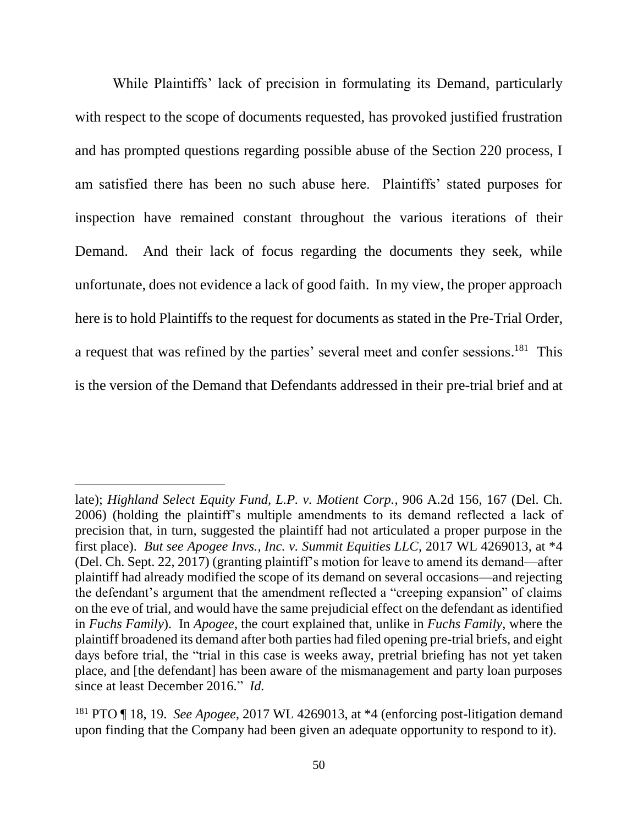While Plaintiffs' lack of precision in formulating its Demand, particularly with respect to the scope of documents requested, has provoked justified frustration and has prompted questions regarding possible abuse of the Section 220 process, I am satisfied there has been no such abuse here. Plaintiffs' stated purposes for inspection have remained constant throughout the various iterations of their Demand. And their lack of focus regarding the documents they seek, while unfortunate, does not evidence a lack of good faith. In my view, the proper approach here is to hold Plaintiffs to the request for documents as stated in the Pre-Trial Order, a request that was refined by the parties' several meet and confer sessions.<sup>181</sup> This is the version of the Demand that Defendants addressed in their pre-trial brief and at

late); *Highland Select Equity Fund, L.P. v. Motient Corp.*, 906 A.2d 156, 167 (Del. Ch. 2006) (holding the plaintiff's multiple amendments to its demand reflected a lack of precision that, in turn, suggested the plaintiff had not articulated a proper purpose in the first place). *But see Apogee Invs., Inc. v. Summit Equities LLC*, 2017 WL 4269013, at \*4 (Del. Ch. Sept. 22, 2017) (granting plaintiff's motion for leave to amend its demand—after plaintiff had already modified the scope of its demand on several occasions—and rejecting the defendant's argument that the amendment reflected a "creeping expansion" of claims on the eve of trial, and would have the same prejudicial effect on the defendant as identified in *Fuchs Family*). In *Apogee*, the court explained that, unlike in *Fuchs Family*, where the plaintiff broadened its demand after both parties had filed opening pre-trial briefs, and eight days before trial, the "trial in this case is weeks away, pretrial briefing has not yet taken place, and [the defendant] has been aware of the mismanagement and party loan purposes since at least December 2016." *Id.*

<sup>181</sup> PTO ¶ 18, 19. *See Apogee*, 2017 WL 4269013, at \*4 (enforcing post-litigation demand upon finding that the Company had been given an adequate opportunity to respond to it).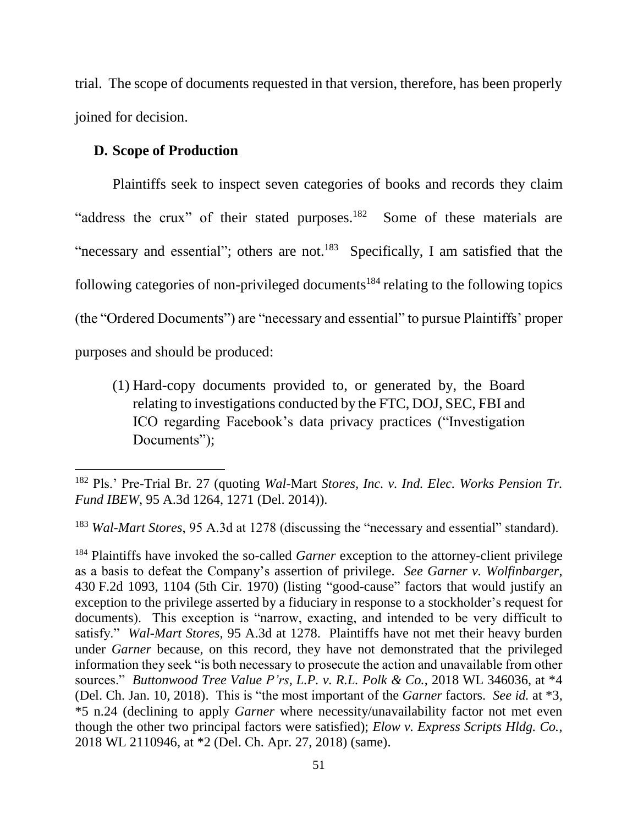trial. The scope of documents requested in that version, therefore, has been properly joined for decision.

### **D. Scope of Production**

 $\overline{a}$ 

Plaintiffs seek to inspect seven categories of books and records they claim "address the crux" of their stated purposes.<sup>182</sup> Some of these materials are "necessary and essential"; others are not. $^{183}$  Specifically, I am satisfied that the following categories of non-privileged documents<sup>184</sup> relating to the following topics (the "Ordered Documents") are "necessary and essential" to pursue Plaintiffs' proper purposes and should be produced:

(1) Hard-copy documents provided to, or generated by, the Board relating to investigations conducted by the FTC, DOJ, SEC, FBI and ICO regarding Facebook's data privacy practices ("Investigation Documents");

<sup>182</sup> Pls.' Pre-Trial Br. 27 (quoting *Wal-*Mart *Stores, Inc. v. Ind. Elec. Works Pension Tr. Fund IBEW*, 95 A.3d 1264, 1271 (Del. 2014)).

<sup>183</sup> *Wal-Mart Stores*, 95 A.3d at 1278 (discussing the "necessary and essential" standard).

<sup>184</sup> Plaintiffs have invoked the so-called *Garner* exception to the attorney-client privilege as a basis to defeat the Company's assertion of privilege. *See Garner v. Wolfinbarger*, 430 F.2d 1093, 1104 (5th Cir. 1970) (listing "good-cause" factors that would justify an exception to the privilege asserted by a fiduciary in response to a stockholder's request for documents). This exception is "narrow, exacting, and intended to be very difficult to satisfy." *Wal-Mart Stores*, 95 A.3d at 1278. Plaintiffs have not met their heavy burden under *Garner* because, on this record, they have not demonstrated that the privileged information they seek "is both necessary to prosecute the action and unavailable from other sources." *Buttonwood Tree Value P'rs, L.P. v. R.L. Polk & Co.*, 2018 WL 346036, at \*4 (Del. Ch. Jan. 10, 2018). This is "the most important of the *Garner* factors. *See id.* at \*3, \*5 n.24 (declining to apply *Garner* where necessity/unavailability factor not met even though the other two principal factors were satisfied); *Elow v. Express Scripts Hldg. Co.*, 2018 WL 2110946, at \*2 (Del. Ch. Apr. 27, 2018) (same).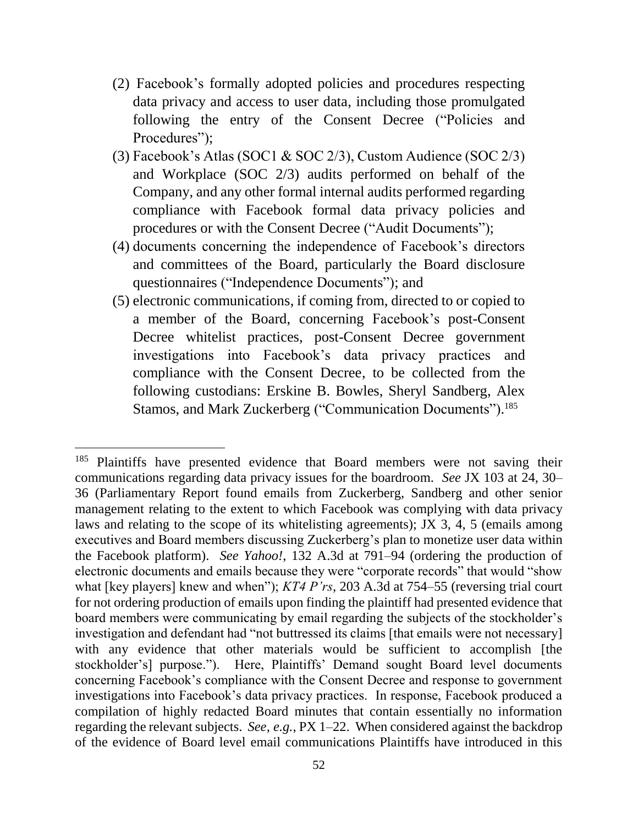- (2) Facebook's formally adopted policies and procedures respecting data privacy and access to user data, including those promulgated following the entry of the Consent Decree ("Policies and Procedures");
- (3) Facebook's Atlas (SOC1 & SOC 2/3), Custom Audience (SOC 2/3) and Workplace (SOC 2/3) audits performed on behalf of the Company, and any other formal internal audits performed regarding compliance with Facebook formal data privacy policies and procedures or with the Consent Decree ("Audit Documents");
- (4) documents concerning the independence of Facebook's directors and committees of the Board, particularly the Board disclosure questionnaires ("Independence Documents"); and
- (5) electronic communications, if coming from, directed to or copied to a member of the Board, concerning Facebook's post-Consent Decree whitelist practices, post-Consent Decree government investigations into Facebook's data privacy practices and compliance with the Consent Decree, to be collected from the following custodians: Erskine B. Bowles, Sheryl Sandberg, Alex Stamos, and Mark Zuckerberg ("Communication Documents").<sup>185</sup>

<sup>&</sup>lt;sup>185</sup> Plaintiffs have presented evidence that Board members were not saving their communications regarding data privacy issues for the boardroom. *See* JX 103 at 24, 30– 36 (Parliamentary Report found emails from Zuckerberg, Sandberg and other senior management relating to the extent to which Facebook was complying with data privacy laws and relating to the scope of its whitelisting agreements); JX 3, 4, 5 (emails among executives and Board members discussing Zuckerberg's plan to monetize user data within the Facebook platform). *See Yahoo!*, 132 A.3d at 791–94 (ordering the production of electronic documents and emails because they were "corporate records" that would "show what [key players] knew and when"); *KT4 P'rs*, 203 A.3d at 754–55 (reversing trial court for not ordering production of emails upon finding the plaintiff had presented evidence that board members were communicating by email regarding the subjects of the stockholder's investigation and defendant had "not buttressed its claims [that emails were not necessary] with any evidence that other materials would be sufficient to accomplish [the stockholder's] purpose."). Here, Plaintiffs' Demand sought Board level documents concerning Facebook's compliance with the Consent Decree and response to government investigations into Facebook's data privacy practices. In response, Facebook produced a compilation of highly redacted Board minutes that contain essentially no information regarding the relevant subjects. *See, e.g.*, PX 1–22. When considered against the backdrop of the evidence of Board level email communications Plaintiffs have introduced in this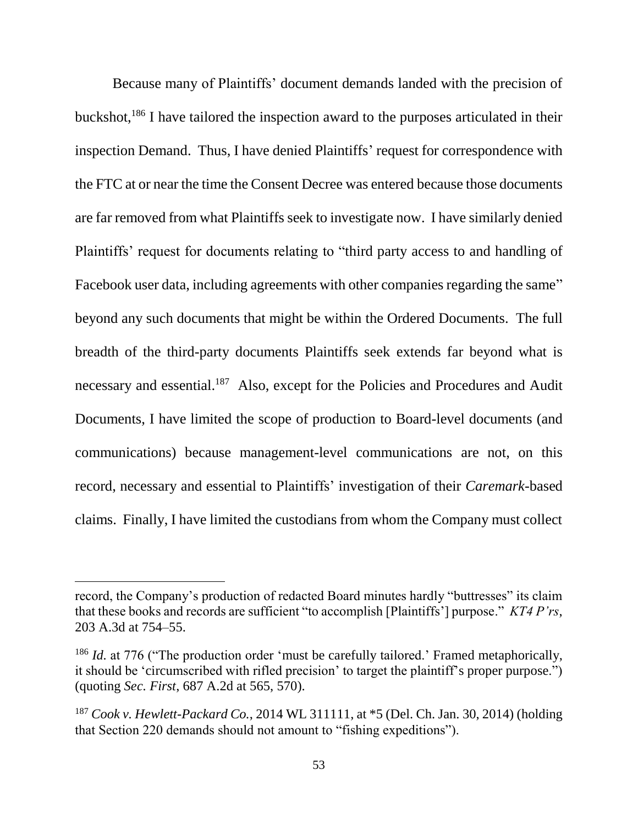Because many of Plaintiffs' document demands landed with the precision of buckshot,<sup>186</sup> I have tailored the inspection award to the purposes articulated in their inspection Demand. Thus, I have denied Plaintiffs' request for correspondence with the FTC at or near the time the Consent Decree was entered because those documents are far removed from what Plaintiffs seek to investigate now. I have similarly denied Plaintiffs' request for documents relating to "third party access to and handling of Facebook user data, including agreements with other companies regarding the same" beyond any such documents that might be within the Ordered Documents. The full breadth of the third-party documents Plaintiffs seek extends far beyond what is necessary and essential.<sup>187</sup> Also, except for the Policies and Procedures and Audit Documents, I have limited the scope of production to Board-level documents (and communications) because management-level communications are not, on this record, necessary and essential to Plaintiffs' investigation of their *Caremark*-based claims. Finally, I have limited the custodians from whom the Company must collect

record, the Company's production of redacted Board minutes hardly "buttresses" its claim that these books and records are sufficient "to accomplish [Plaintiffs'] purpose." *KT4 P'rs*, 203 A.3d at 754–55.

<sup>&</sup>lt;sup>186</sup> *Id.* at 776 ("The production order 'must be carefully tailored.' Framed metaphorically, it should be 'circumscribed with rifled precision' to target the plaintiff's proper purpose.") (quoting *Sec. First*, 687 A.2d at 565, 570).

<sup>187</sup> *Cook v. Hewlett-Packard Co.*, 2014 WL 311111, at \*5 (Del. Ch. Jan. 30, 2014) (holding that Section 220 demands should not amount to "fishing expeditions").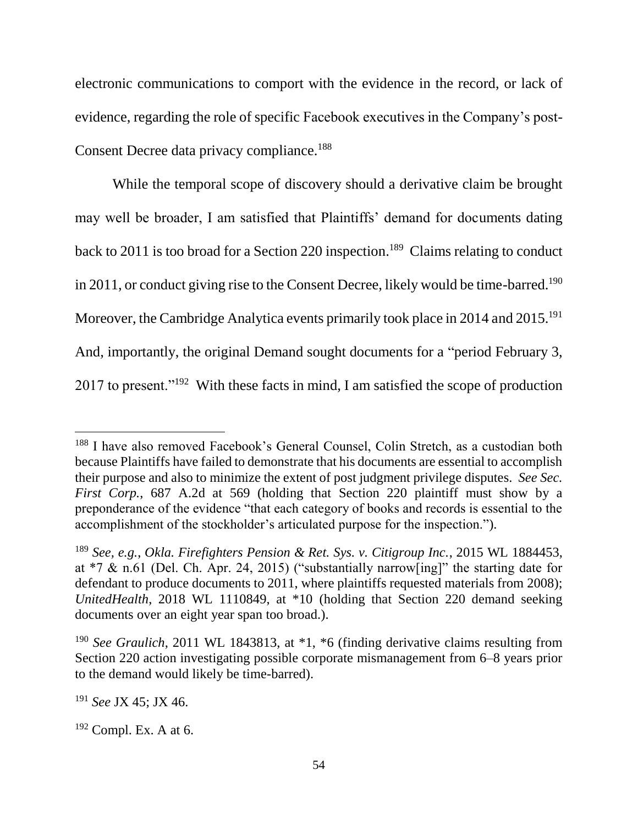electronic communications to comport with the evidence in the record, or lack of evidence, regarding the role of specific Facebook executives in the Company's post-Consent Decree data privacy compliance.<sup>188</sup>

While the temporal scope of discovery should a derivative claim be brought may well be broader, I am satisfied that Plaintiffs' demand for documents dating back to 2011 is too broad for a Section 220 inspection. 189 Claims relating to conduct in 2011, or conduct giving rise to the Consent Decree, likely would be time-barred.<sup>190</sup> Moreover, the Cambridge Analytica events primarily took place in 2014 and 2015.<sup>191</sup> And, importantly, the original Demand sought documents for a "period February 3, 2017 to present."<sup>192</sup> With these facts in mind, I am satisfied the scope of production

<sup>&</sup>lt;sup>188</sup> I have also removed Facebook's General Counsel, Colin Stretch, as a custodian both because Plaintiffs have failed to demonstrate that his documents are essential to accomplish their purpose and also to minimize the extent of post judgment privilege disputes. *See Sec. First Corp.*, 687 A.2d at 569 (holding that Section 220 plaintiff must show by a preponderance of the evidence "that each category of books and records is essential to the accomplishment of the stockholder's articulated purpose for the inspection.").

<sup>189</sup> *See, e.g.*, *Okla. Firefighters Pension & Ret. Sys. v. Citigroup Inc.*, 2015 WL 1884453, at \*7 & n.61 (Del. Ch. Apr. 24, 2015) ("substantially narrow[ing]" the starting date for defendant to produce documents to 2011, where plaintiffs requested materials from 2008); *UnitedHealth*, 2018 WL 1110849, at \*10 (holding that Section 220 demand seeking documents over an eight year span too broad.).

<sup>190</sup> *See Graulich*, 2011 WL 1843813, at \*1, \*6 (finding derivative claims resulting from Section 220 action investigating possible corporate mismanagement from 6–8 years prior to the demand would likely be time-barred).

<sup>191</sup> *See* JX 45; JX 46.

 $192$  Compl. Ex. A at 6.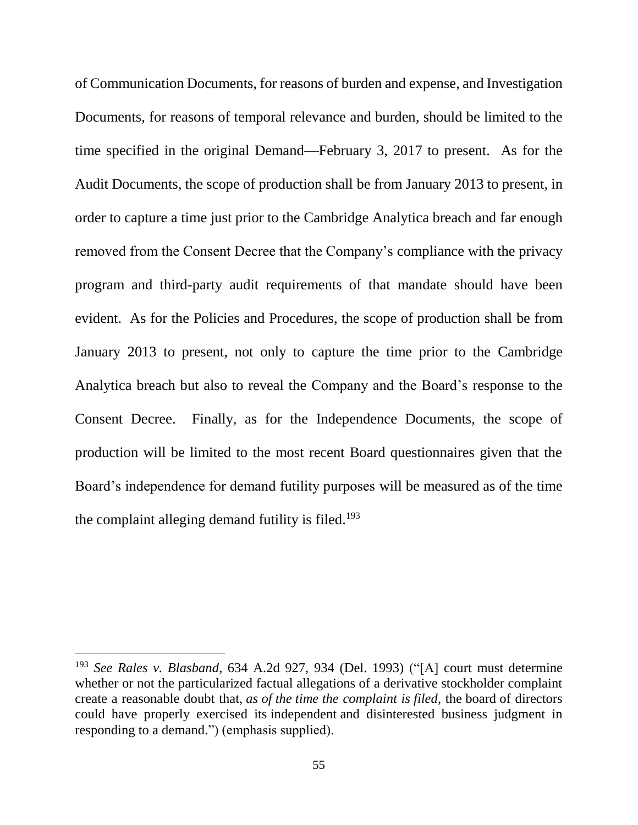of Communication Documents, for reasons of burden and expense, and Investigation Documents, for reasons of temporal relevance and burden, should be limited to the time specified in the original Demand—February 3, 2017 to present. As for the Audit Documents, the scope of production shall be from January 2013 to present, in order to capture a time just prior to the Cambridge Analytica breach and far enough removed from the Consent Decree that the Company's compliance with the privacy program and third-party audit requirements of that mandate should have been evident. As for the Policies and Procedures, the scope of production shall be from January 2013 to present, not only to capture the time prior to the Cambridge Analytica breach but also to reveal the Company and the Board's response to the Consent Decree. Finally, as for the Independence Documents, the scope of production will be limited to the most recent Board questionnaires given that the Board's independence for demand futility purposes will be measured as of the time the complaint alleging demand futility is filed.<sup>193</sup>

<sup>193</sup> *See Rales v. Blasband*, 634 A.2d 927, 934 (Del. 1993) ("[A] court must determine whether or not the particularized factual allegations of a derivative stockholder complaint create a reasonable doubt that, *as of the time the complaint is filed*, the board of directors could have properly exercised its independent and disinterested business judgment in responding to a demand.") (emphasis supplied).